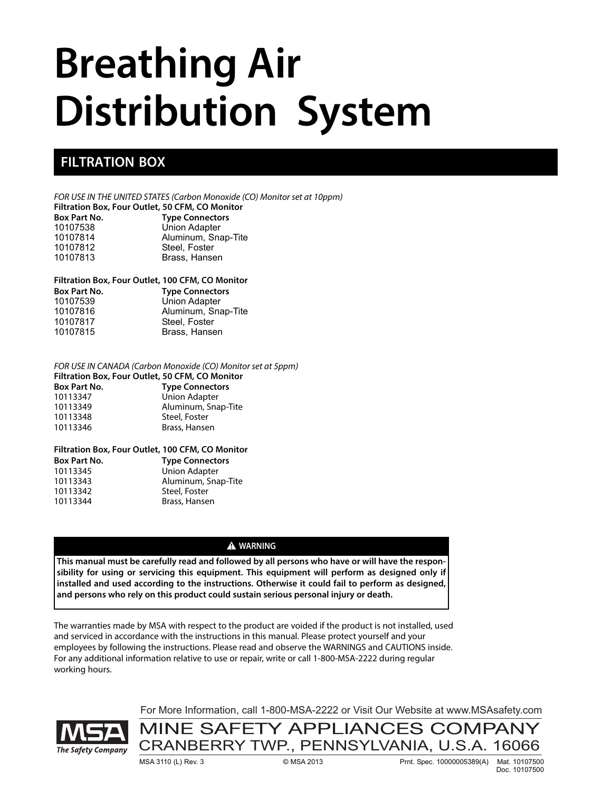# **Breathing Air Distribution System**

## **FILTRATION BOX**

*FOR USE IN THE UNITED STATES (Carbon Monoxide (CO) Monitor set at 10ppm)*

**Filtration Box, Four Outlet, 50 CFM, CO Monitor Type Connectors** 10107538 Union Adapter

| 10107538 | Union Adapter       |
|----------|---------------------|
| 10107814 | Aluminum, Snap-Tite |
| 10107812 | Steel, Foster       |
| 10107813 | Brass, Hansen       |

#### **Filtration Box, Four Outlet, 100 CFM, CO Monitor**

| <b>Box Part No.</b> | <b>Type Connectors</b> |
|---------------------|------------------------|
| 10107539            | Union Adapter          |
| 10107816            | Aluminum, Snap-Tite    |
| 10107817            | Steel, Foster          |
| 10107815            | Brass, Hansen          |

#### *FOR USE IN CANADA (Carbon Monoxide (CO) Monitor set at 5ppm)*

| Filtration Box, Four Outlet, 50 CFM, CO Monitor |                        |  |
|-------------------------------------------------|------------------------|--|
| <b>Box Part No.</b>                             | <b>Type Connectors</b> |  |
| 10113347                                        | <b>Union Adapter</b>   |  |
| 10113349                                        | Aluminum, Snap-Tite    |  |
| 10113348                                        | Steel, Foster          |  |
| 10113346                                        | Brass, Hansen          |  |

#### **Filtration Box, Four Outlet, 100 CFM, CO Monitor**

| <b>Box Part No.</b> | <b>Type Connectors</b> |
|---------------------|------------------------|
| 10113345            | <b>Union Adapter</b>   |
| 10113343            | Aluminum, Snap-Tite    |
| 10113342            | Steel, Foster          |
| 10113344            | Brass, Hansen          |
|                     |                        |

#### **A** WARNING

**This manual must be carefully read and followed by all persons who have or will have the responsibility for using or servicing this equipment. This equipment will perform as designed only if installed and used according to the instructions. Otherwise it could fail to perform as designed, and persons who rely on this product could sustain serious personal injury or death.**

The warranties made by MSA with respect to the product are voided if the product is not installed, used and serviced in accordance with the instructions in this manual. Please protect yourself and your employees by following the instructions. Please read and observe the WARNINGS and CAUTIONS inside. For any additional information relative to use or repair, write or call 1-800-MSA-2222 during regular working hours.

The Safety Company

For More Information, call 1-800-MSA-2222 or Visit Our Website at www.MSAsafety.com

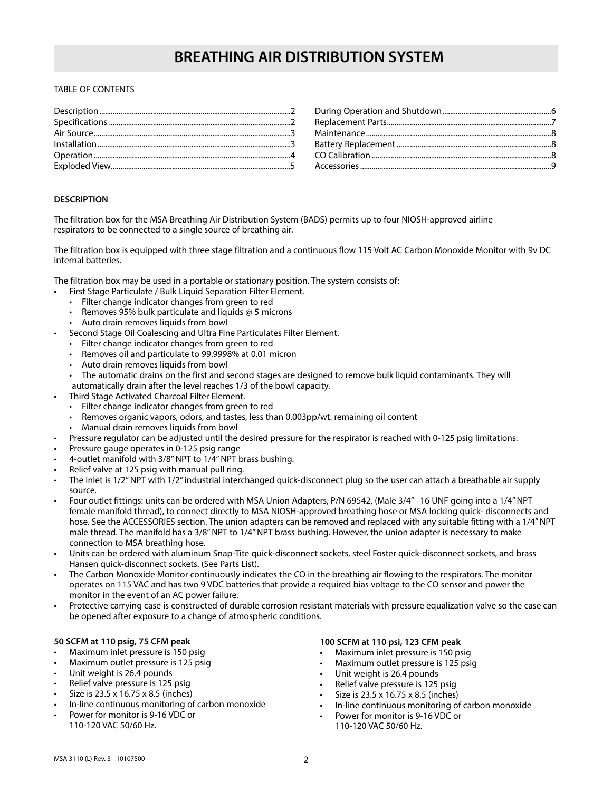#### TABLE OF CONTENTS

#### **DESCRIPTION**

The filtration box for the MSA Breathing Air Distribution System (BADS) permits up to four NIOSH-approved airline respirators to be connected to a single source of breathing air.

The filtration box is equipped with three stage filtration and a continuous flow 115 Volt AC Carbon Monoxide Monitor with 9v DC internal batteries.

The filtration box may be used in a portable or stationary position. The system consists of:

- First Stage Particulate / Bulk Liquid Separation Filter Element.
- Filter change indicator changes from green to red
- Removes 95% bulk particulate and liquids  $@$  5 microns
- Auto drain removes liquids from bowl
- Second Stage Oil Coalescing and Ultra Fine Particulates Filter Element.
	- Filter change indicator changes from green to red
	- Removes oil and particulate to 99.9998% at 0.01 micron
	- Auto drain removes liquids from bowl
	- The automatic drains on the first and second stages are designed to remove bulk liquid contaminants. They will automatically drain after the level reaches 1/3 of the bowl capacity.
- Third Stage Activated Charcoal Filter Element.
	- Filter change indicator changes from green to red
	- Removes organic vapors, odors, and tastes, less than 0.003pp/wt. remaining oil content
	- Manual drain removes liquids from bowl
- Pressure regulator can be adjusted until the desired pressure for the respirator is reached with 0-125 psig limitations.
- Pressure gauge operates in 0-125 psig range
- 4-outlet manifold with 3/8" NPT to 1/4" NPT brass bushing.
- Relief valve at 125 psig with manual pull ring.
- The inlet is 1/2" NPT with 1/2" industrial interchanged quick-disconnect plug so the user can attach a breathable air supply source.
- Four outlet fittings: units can be ordered with MSA Union Adapters, P/N 69542, (Male 3/4" –16 UNF going into a 1/4" NPT female manifold thread), to connect directly to MSA NIOSH-approved breathing hose or MSA locking quick- disconnects and hose. See the ACCESSORIES section. The union adapters can be removed and replaced with any suitable fitting with a 1/4" NPT male thread. The manifold has a 3/8" NPT to 1/4" NPT brass bushing. However, the union adapter is necessary to make connection to MSA breathing hose.
- Units can be ordered with aluminum Snap-Tite quick-disconnect sockets, steel Foster quick-disconnect sockets, and brass Hansen quick-disconnect sockets. (See Parts List).
- The Carbon Monoxide Monitor continuously indicates the CO in the breathing air flowing to the respirators. The monitor operates on 115 VAC and has two 9 VDC batteries that provide a required bias voltage to the CO sensor and power the monitor in the event of an AC power failure.
- Protective carrying case is constructed of durable corrosion resistant materials with pressure equalization valve so the case can be opened after exposure to a change of atmospheric conditions.

#### **50 SCFM at 110 psig, 75 CFM peak**

- Maximum inlet pressure is 150 psig
- Maximum outlet pressure is 125 psig
- Unit weight is 26.4 pounds
- Relief valve pressure is 125 psig
- Size is 23.5 x 16.75 x 8.5 (inches)
- In-line continuous monitoring of carbon monoxide
- Power for monitor is 9-16 VDC or 110-120 VAC 50/60 Hz.

#### **100 SCFM at 110 psi, 123 CFM peak**

- Maximum inlet pressure is 150 psig
- Maximum outlet pressure is 125 psig
- Unit weight is 26.4 pounds
- Relief valve pressure is 125 psig
- Size is 23.5 x 16.75 x 8.5 (inches)
- In-line continuous monitoring of carbon monoxide
- Power for monitor is 9-16 VDC or 110-120 VAC 50/60 Hz.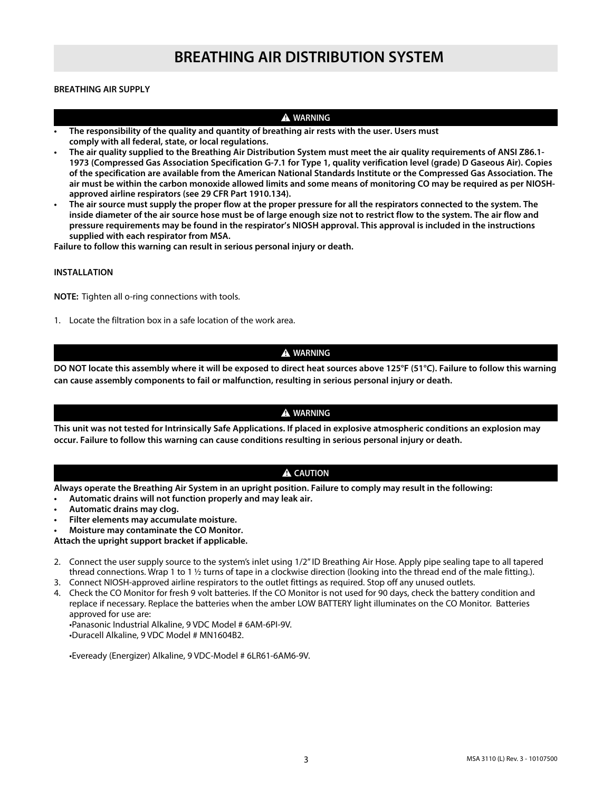#### **BREATHING AIR SUPPLY**

#### **A** WARNING

- **The responsibility of the quality and quantity of breathing air rests with the user. Users must comply with all federal, state, or local regulations.**
- **The air quality supplied to the Breathing Air Distribution System must meet the air quality requirements of ANSI Z86.1- 1973 (Compressed Gas Association Specification G-7.1 for Type 1, quality verification level (grade) D Gaseous Air). Copies of the specification are available from the American National Standards Institute or the Compressed Gas Association. The air must be within the carbon monoxide allowed limits and some means of monitoring CO may be required as per NIOSHapproved airline respirators (see 29 CFR Part 1910.134).**
- **The air source must supply the proper flow at the proper pressure for all the respirators connected to the system. The inside diameter of the air source hose must be of large enough size not to restrict flow to the system. The air flow and pressure requirements may be found in the respirator's NIOSH approval. This approval is included in the instructions supplied with each respirator from MSA.**

**Failure to follow this warning can result in serious personal injury or death.**

#### **INSTALLATION**

**NOTE:** Tighten all o-ring connections with tools.

1. Locate the filtration box in a safe location of the work area.

#### **A** WARNING

**DO NOT locate this assembly where it will be exposed to direct heat sources above 125°F (51°C). Failure to follow this warning can cause assembly components to fail or malfunction, resulting in serious personal injury or death.**

#### $\triangle$  WARNING

**This unit was not tested for Intrinsically Safe Applications. If placed in explosive atmospheric conditions an explosion may occur. Failure to follow this warning can cause conditions resulting in serious personal injury or death.**

#### A CAUTION

**Always operate the Breathing Air System in an upright position. Failure to comply may result in the following:**

- **Automatic drains will not function properly and may leak air.**
- **Automatic drains may clog.**
- **Filter elements may accumulate moisture.**
- **Moisture may contaminate the CO Monitor.**

#### **Attach the upright support bracket if applicable.**

- 2. Connect the user supply source to the system's inlet using 1/2" ID Breathing Air Hose. Apply pipe sealing tape to all tapered thread connections. Wrap 1 to 1  $\frac{1}{2}$  turns of tape in a clockwise direction (looking into the thread end of the male fitting.).
- 3. Connect NIOSH-approved airline respirators to the outlet fittings as required. Stop off any unused outlets.
- 4. Check the CO Monitor for fresh 9 volt batteries. If the CO Monitor is not used for 90 days, check the battery condition and replace if necessary. Replace the batteries when the amber LOW BATTERY light illuminates on the CO Monitor. Batteries approved for use are:

•Panasonic Industrial Alkaline, 9 VDC Model # 6AM-6PI-9V.

•Duracell Alkaline, 9 VDC Model # MN1604B2.

•Eveready (Energizer) Alkaline, 9 VDC-Model # 6LR61-6AM6-9V.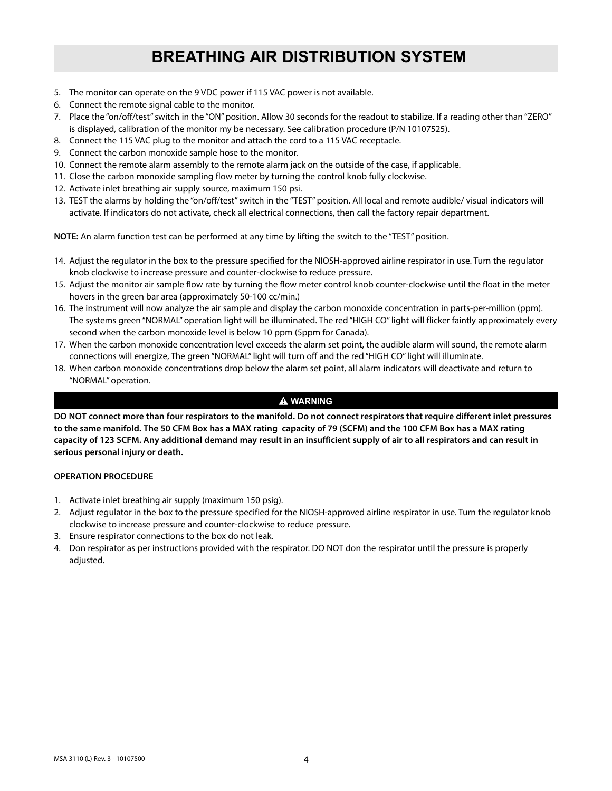- 5. The monitor can operate on the 9 VDC power if 115 VAC power is not available.
- 6. Connect the remote signal cable to the monitor.
- 7. Place the "on/off/test" switch in the "ON" position. Allow 30 seconds for the readout to stabilize. If a reading other than "ZERO" is displayed, calibration of the monitor my be necessary. See calibration procedure (P/N 10107525).
- 8. Connect the 115 VAC plug to the monitor and attach the cord to a 115 VAC receptacle.
- 9. Connect the carbon monoxide sample hose to the monitor.
- 10. Connect the remote alarm assembly to the remote alarm jack on the outside of the case, if applicable.
- 11. Close the carbon monoxide sampling flow meter by turning the control knob fully clockwise.
- 12. Activate inlet breathing air supply source, maximum 150 psi.
- 13. TEST the alarms by holding the "on/off/test" switch in the "TEST" position. All local and remote audible/ visual indicators will activate. If indicators do not activate, check all electrical connections, then call the factory repair department.

**NOTE:** An alarm function test can be performed at any time by lifting the switch to the "TEST" position.

- 14. Adjust the regulator in the box to the pressure specified for the NIOSH-approved airline respirator in use. Turn the regulator knob clockwise to increase pressure and counter-clockwise to reduce pressure.
- 15. Adjust the monitor air sample flow rate by turning the flow meter control knob counter-clockwise until the float in the meter hovers in the green bar area (approximately 50-100 cc/min.)
- 16. The instrument will now analyze the air sample and display the carbon monoxide concentration in parts-per-million (ppm). The systems green "NORMAL" operation light will be illuminated. The red "HIGH CO" light will flicker faintly approximately every second when the carbon monoxide level is below 10 ppm (5ppm for Canada).
- 17. When the carbon monoxide concentration level exceeds the alarm set point, the audible alarm will sound, the remote alarm connections will energize, The green "NORMAL" light will turn off and the red "HIGH CO" light will illuminate.
- 18. When carbon monoxide concentrations drop below the alarm set point, all alarm indicators will deactivate and return to "NORMAL" operation.

#### $\triangle$  WARNING

**DO NOT connect more than four respirators to the manifold. Do not connect respirators that require different inlet pressures to the same manifold. The 50 CFM Box has a MAX rating capacity of 79 (SCFM) and the 100 CFM Box has a MAX rating capacity of 123 SCFM. Any additional demand may result in an insufficient supply of air to all respirators and can result in serious personal injury or death.**

#### **OPERATION PROCEDURE**

- 1. Activate inlet breathing air supply (maximum 150 psig).
- 2. Adjust regulator in the box to the pressure specified for the NIOSH-approved airline respirator in use. Turn the regulator knob clockwise to increase pressure and counter-clockwise to reduce pressure.
- 3. Ensure respirator connections to the box do not leak.
- 4. Don respirator as per instructions provided with the respirator. DO NOT don the respirator until the pressure is properly adjusted.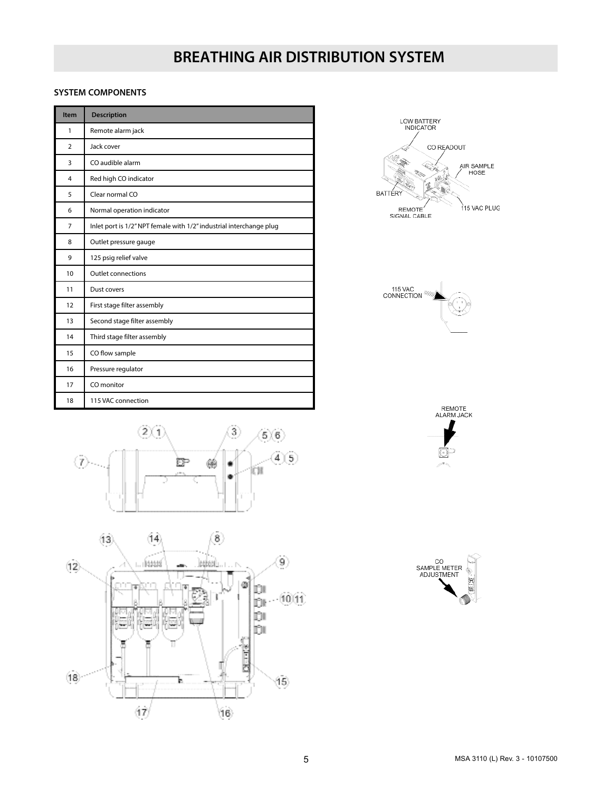#### **SYSTEM COMPONENTS**

| Item           | <b>Description</b>                                                  |  |  |
|----------------|---------------------------------------------------------------------|--|--|
| 1              | Remote alarm jack                                                   |  |  |
| $\overline{2}$ | Jack cover                                                          |  |  |
| 3              | CO audible alarm                                                    |  |  |
| 4              | Red high CO indicator                                               |  |  |
| 5              | Clear normal CO                                                     |  |  |
| 6              | Normal operation indicator                                          |  |  |
| $\overline{7}$ | Inlet port is 1/2" NPT female with 1/2" industrial interchange plug |  |  |
| 8              | Outlet pressure gauge                                               |  |  |
| 9              | 125 psig relief valve                                               |  |  |
| 10             | <b>Outlet connections</b>                                           |  |  |
| 11             | Dust covers                                                         |  |  |
| 12             | First stage filter assembly                                         |  |  |
| 13             | Second stage filter assembly                                        |  |  |
| 14             | Third stage filter assembly                                         |  |  |
| 15             | CO flow sample                                                      |  |  |
| 16             | Pressure regulator                                                  |  |  |
| 17             | CO monitor                                                          |  |  |
| 18             | 115 VAC connection                                                  |  |  |











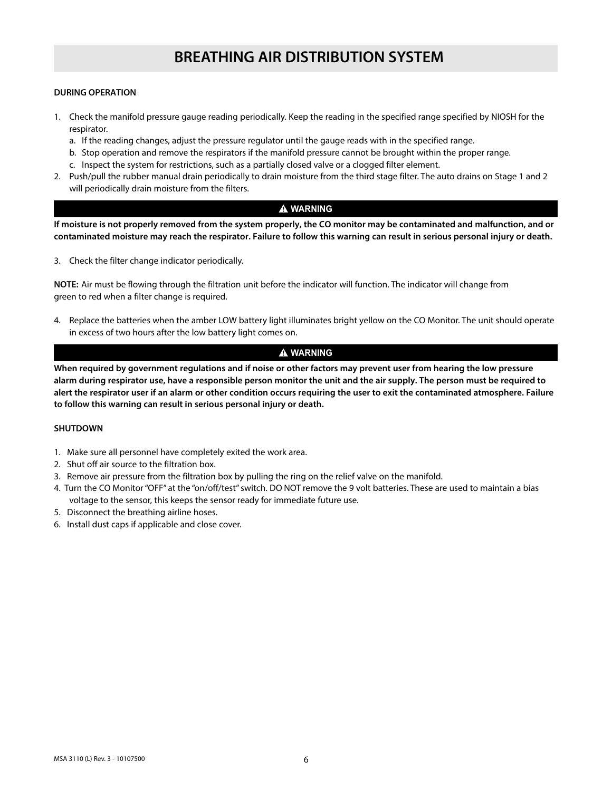#### **DURING OPERATION**

- 1. Check the manifold pressure gauge reading periodically. Keep the reading in the specified range specified by NIOSH for the respirator.
	- a. If the reading changes, adjust the pressure regulator until the gauge reads with in the specified range.
	- b. Stop operation and remove the respirators if the manifold pressure cannot be brought within the proper range.
	- c. Inspect the system for restrictions, such as a partially closed valve or a clogged filter element.
- 2. Push/pull the rubber manual drain periodically to drain moisture from the third stage filter. The auto drains on Stage 1 and 2 will periodically drain moisture from the filters.

#### $A$  WARNING

**If moisture is not properly removed from the system properly, the CO monitor may be contaminated and malfunction, and or contaminated moisture may reach the respirator. Failure to follow this warning can result in serious personal injury or death.**

3. Check the filter change indicator periodically.

**NOTE:** Air must be flowing through the filtration unit before the indicator will function. The indicator will change from green to red when a filter change is required.

4. Replace the batteries when the amber LOW battery light illuminates bright yellow on the CO Monitor. The unit should operate in excess of two hours after the low battery light comes on.

#### $\triangle$  WARNING

**When required by government regulations and if noise or other factors may prevent user from hearing the low pressure alarm during respirator use, have a responsible person monitor the unit and the air supply. The person must be required to alert the respirator user if an alarm or other condition occurs requiring the user to exit the contaminated atmosphere. Failure to follow this warning can result in serious personal injury or death.**

#### **SHUTDOWN**

- 1. Make sure all personnel have completely exited the work area.
- 2. Shut off air source to the filtration box.
- 3. Remove air pressure from the filtration box by pulling the ring on the relief valve on the manifold.
- 4. Turn the CO Monitor "OFF" at the "on/off/test" switch. DO NOT remove the 9 volt batteries. These are used to maintain a bias voltage to the sensor, this keeps the sensor ready for immediate future use.
- 5. Disconnect the breathing airline hoses.
- 6. Install dust caps if applicable and close cover.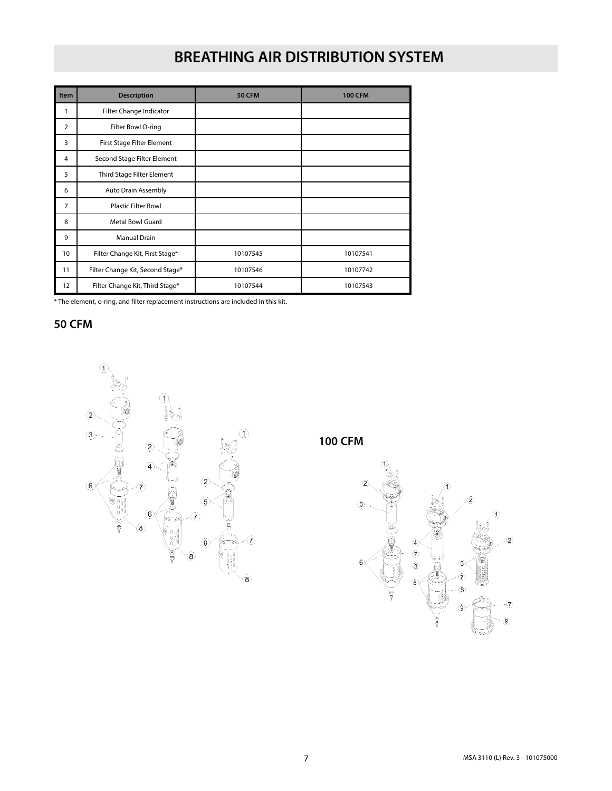| Item             | <b>Description</b>                                      | <b>50 CFM</b> | <b>100 CFM</b> |  |
|------------------|---------------------------------------------------------|---------------|----------------|--|
| 1                | Filter Change Indicator                                 |               |                |  |
| $\overline{2}$   | Filter Bowl O-ring                                      |               |                |  |
| 3                | First Stage Filter Element                              |               |                |  |
| 4                | Second Stage Filter Element                             |               |                |  |
| 5                | Third Stage Filter Element                              |               |                |  |
| 6                | Auto Drain Assembly                                     |               |                |  |
| $\overline{7}$   | <b>Plastic Filter Bowl</b>                              |               |                |  |
| 8                | <b>Metal Bowl Guard</b>                                 |               |                |  |
| 9                | <b>Manual Drain</b>                                     |               |                |  |
| 10 <sup>10</sup> | Filter Change Kit, First Stage*                         | 10107545      | 10107541       |  |
| 11               | Filter Change Kit, Second Stage*                        | 10107546      | 10107742       |  |
| 12               | Filter Change Kit, Third Stage*<br>10107544<br>10107543 |               |                |  |

\* The element, o-ring, and filter replacement instructions are included in this kit.

**50 CFM**



**100 CFM**

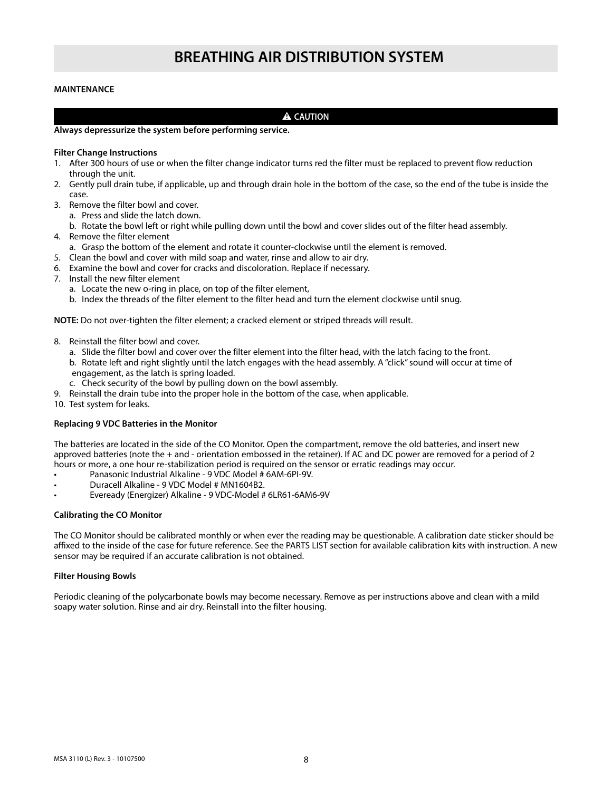#### **MAINTENANCE**

#### **A** CAUTION

#### **Always depressurize the system before performing service.**

#### **Filter Change Instructions**

- 1. After 300 hours of use or when the filter change indicator turns red the filter must be replaced to prevent flow reduction through the unit.
- 2. Gently pull drain tube, if applicable, up and through drain hole in the bottom of the case, so the end of the tube is inside the case.
- 3. Remove the filter bowl and cover.
	- a. Press and slide the latch down.
	- b. Rotate the bowl left or right while pulling down until the bowl and cover slides out of the filter head assembly.
- 4. Remove the filter element
	- a. Grasp the bottom of the element and rotate it counter-clockwise until the element is removed.
- 5. Clean the bowl and cover with mild soap and water, rinse and allow to air dry.
- 6. Examine the bowl and cover for cracks and discoloration. Replace if necessary.
- 7. Install the new filter element
	- a. Locate the new o-ring in place, on top of the filter element,
	- b. Index the threads of the filter element to the filter head and turn the element clockwise until snug.

**NOTE:** Do not over-tighten the filter element; a cracked element or striped threads will result.

- 8. Reinstall the filter bowl and cover.
	- a. Slide the filter bowl and cover over the filter element into the filter head, with the latch facing to the front. b. Rotate left and right slightly until the latch engages with the head assembly. A "click" sound will occur at time of engagement, as the latch is spring loaded.
	- c. Check security of the bowl by pulling down on the bowl assembly.
- 9. Reinstall the drain tube into the proper hole in the bottom of the case, when applicable.
- 10. Test system for leaks.

#### **Replacing 9 VDC Batteries in the Monitor**

The batteries are located in the side of the CO Monitor. Open the compartment, remove the old batteries, and insert new approved batteries (note the + and - orientation embossed in the retainer). If AC and DC power are removed for a period of 2 hours or more, a one hour re-stabilization period is required on the sensor or erratic readings may occur.

- Panasonic Industrial Alkaline 9 VDC Model # 6AM-6PI-9V.
- Duracell Alkaline 9 VDC Model # MN1604B2.
- Eveready (Energizer) Alkaline 9 VDC-Model # 6LR61-6AM6-9V

#### **Calibrating the CO Monitor**

The CO Monitor should be calibrated monthly or when ever the reading may be questionable. A calibration date sticker should be affixed to the inside of the case for future reference. See the PARTS LIST section for available calibration kits with instruction. A new sensor may be required if an accurate calibration is not obtained.

#### **Filter Housing Bowls**

Periodic cleaning of the polycarbonate bowls may become necessary. Remove as per instructions above and clean with a mild soapy water solution. Rinse and air dry. Reinstall into the filter housing.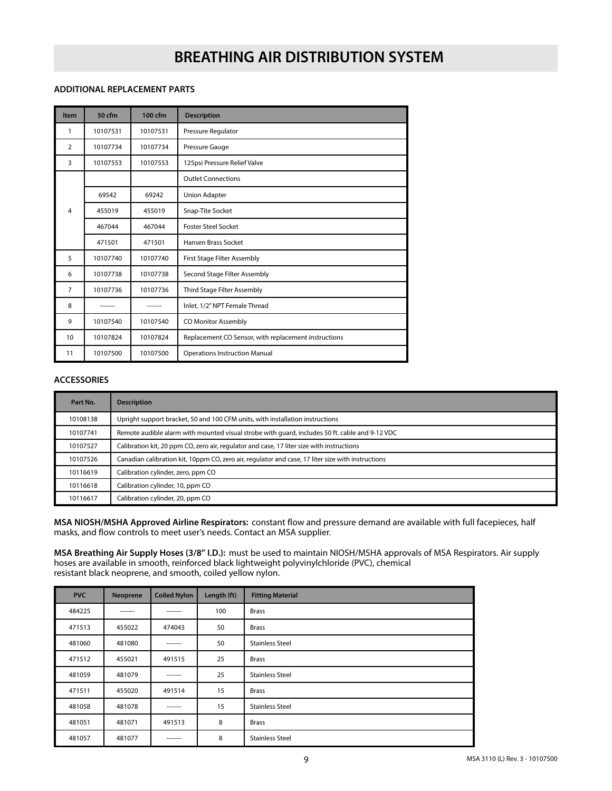#### **ADDITIONAL REPLACEMENT PARTS**

| Item           | 50 cfm   | 100 cfm  | <b>Description</b>                                   |  |
|----------------|----------|----------|------------------------------------------------------|--|
| 1              | 10107531 | 10107531 | Pressure Regulator                                   |  |
| $\overline{2}$ | 10107734 | 10107734 | Pressure Gauge                                       |  |
| 3              | 10107553 | 10107553 | 125psi Pressure Relief Valve                         |  |
|                |          |          | <b>Outlet Connections</b>                            |  |
|                | 69542    | 69242    | <b>Union Adapter</b>                                 |  |
| 4              | 455019   | 455019   | Snap-Tite Socket                                     |  |
|                | 467044   | 467044   | <b>Foster Steel Socket</b>                           |  |
|                | 471501   | 471501   | Hansen Brass Socket                                  |  |
| 5              | 10107740 | 10107740 | First Stage Filter Assembly                          |  |
| 6              | 10107738 | 10107738 | Second Stage Filter Assembly                         |  |
| 7              | 10107736 | 10107736 | Third Stage Filter Assembly                          |  |
| 8              |          |          | Inlet, 1/2" NPT Female Thread                        |  |
| 9              | 10107540 | 10107540 | CO Monitor Assembly                                  |  |
| 10             | 10107824 | 10107824 | Replacement CO Sensor, with replacement instructions |  |
| 11             | 10107500 | 10107500 | <b>Operations Instruction Manual</b>                 |  |

#### **ACCESSORIES**

| Part No. | <b>Description</b>                                                                                |  |  |
|----------|---------------------------------------------------------------------------------------------------|--|--|
| 10108138 | Upright support bracket, 50 and 100 CFM units, with installation instructions                     |  |  |
| 10107741 | Remote audible alarm with mounted visual strobe with quard, includes 50 ft. cable and 9-12 VDC    |  |  |
| 10107527 | Calibration kit, 20 ppm CO, zero air, regulator and case, 17 liter size with instructions         |  |  |
| 10107526 | Canadian calibration kit, 10ppm CO, zero air, regulator and case, 17 liter size with instructions |  |  |
| 10116619 | Calibration cylinder, zero, ppm CO                                                                |  |  |
| 10116618 | Calibration cylinder, 10, ppm CO                                                                  |  |  |
| 10116617 | Calibration cylinder, 20, ppm CO                                                                  |  |  |

**MSA NIOSH/MSHA Approved Airline Respirators:** constant flow and pressure demand are available with full facepieces, half masks, and flow controls to meet user's needs. Contact an MSA supplier.

**MSA Breathing Air Supply Hoses (3/8" I.D.):** must be used to maintain NIOSH/MSHA approvals of MSA Respirators. Air supply hoses are available in smooth, reinforced black lightweight polyvinylchloride (PVC), chemical resistant black neoprene, and smooth, coiled yellow nylon.

| <b>PVC</b> | Neoprene | <b>Coiled Nylon</b> | Length (ft) | <b>Fitting Material</b> |
|------------|----------|---------------------|-------------|-------------------------|
| 484225     | -------  | -------             | 100         | <b>Brass</b>            |
| 471513     | 455022   | 474043              | 50          | <b>Brass</b>            |
| 481060     | 481080   | -------             | 50          | <b>Stainless Steel</b>  |
| 471512     | 455021   | 491515              | 25          | <b>Brass</b>            |
| 481059     | 481079   | -------             | 25          | <b>Stainless Steel</b>  |
| 471511     | 455020   | 491514              | 15          | <b>Brass</b>            |
| 481058     | 481078   | -------             | 15          | <b>Stainless Steel</b>  |
| 481051     | 481071   | 491513              | 8           | <b>Brass</b>            |
| 481057     | 481077   | -------             | 8           | <b>Stainless Steel</b>  |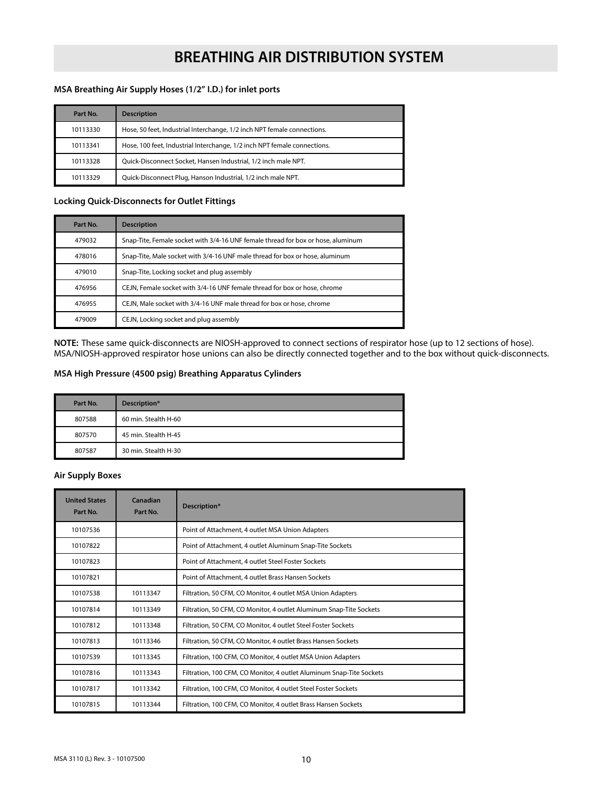#### **MSA Breathing Air Supply Hoses (1/2" I.D.) for inlet ports**

| Part No. | <b>Description</b>                                                       |
|----------|--------------------------------------------------------------------------|
| 10113330 | Hose, 50 feet, Industrial Interchange, 1/2 inch NPT female connections.  |
| 10113341 | Hose, 100 feet, Industrial Interchange, 1/2 inch NPT female connections. |
| 10113328 | Quick-Disconnect Socket, Hansen Industrial, 1/2 inch male NPT.           |
| 10113329 | Quick-Disconnect Plug, Hanson Industrial, 1/2 inch male NPT.             |

#### **Locking Quick-Disconnects for Outlet Fittings**

| Part No. | <b>Description</b>                                                               |  |
|----------|----------------------------------------------------------------------------------|--|
| 479032   | Snap-Tite, Female socket with 3/4-16 UNF female thread for box or hose, aluminum |  |
| 478016   | Snap-Tite, Male socket with 3/4-16 UNF male thread for box or hose, aluminum     |  |
| 479010   | Snap-Tite, Locking socket and plug assembly                                      |  |
| 476956   | CEJN. Female socket with 3/4-16 UNF female thread for box or hose, chrome        |  |
| 476955   | CEJN. Male socket with 3/4-16 UNF male thread for box or hose, chrome            |  |
| 479009   | CEJN, Locking socket and plug assembly                                           |  |

**NOTE:** These same quick-disconnects are NIOSH-approved to connect sections of respirator hose (up to 12 sections of hose). MSA/NIOSH-approved respirator hose unions can also be directly connected together and to the box without quick-disconnects.

#### **MSA High Pressure (4500 psig) Breathing Apparatus Cylinders**

| Part No. | Description*         |
|----------|----------------------|
| 807588   | 60 min. Stealth H-60 |
| 807570   | 45 min. Stealth H-45 |
| 807587   | 30 min. Stealth H-30 |

#### **Air Supply Boxes**

| <b>United States</b><br>Part No. | Canadian<br>Part No. | Description*                                                         |
|----------------------------------|----------------------|----------------------------------------------------------------------|
| 10107536                         |                      | Point of Attachment, 4 outlet MSA Union Adapters                     |
| 10107822                         |                      | Point of Attachment, 4 outlet Aluminum Snap-Tite Sockets             |
| 10107823                         |                      | Point of Attachment, 4 outlet Steel Foster Sockets                   |
| 10107821                         |                      | Point of Attachment, 4 outlet Brass Hansen Sockets                   |
| 10107538                         | 10113347             | Filtration, 50 CFM, CO Monitor, 4 outlet MSA Union Adapters          |
| 10107814                         | 10113349             | Filtration, 50 CFM, CO Monitor, 4 outlet Aluminum Snap-Tite Sockets  |
| 10107812                         | 10113348             | Filtration, 50 CFM, CO Monitor, 4 outlet Steel Foster Sockets        |
| 10107813                         | 10113346             | Filtration, 50 CFM, CO Monitor, 4 outlet Brass Hansen Sockets        |
| 10107539                         | 10113345             | Filtration, 100 CFM, CO Monitor, 4 outlet MSA Union Adapters         |
| 10107816                         | 10113343             | Filtration, 100 CFM, CO Monitor, 4 outlet Aluminum Snap-Tite Sockets |
| 10107817                         | 10113342             | Filtration, 100 CFM, CO Monitor, 4 outlet Steel Foster Sockets       |
| 10107815                         | 10113344             | Filtration, 100 CFM, CO Monitor, 4 outlet Brass Hansen Sockets       |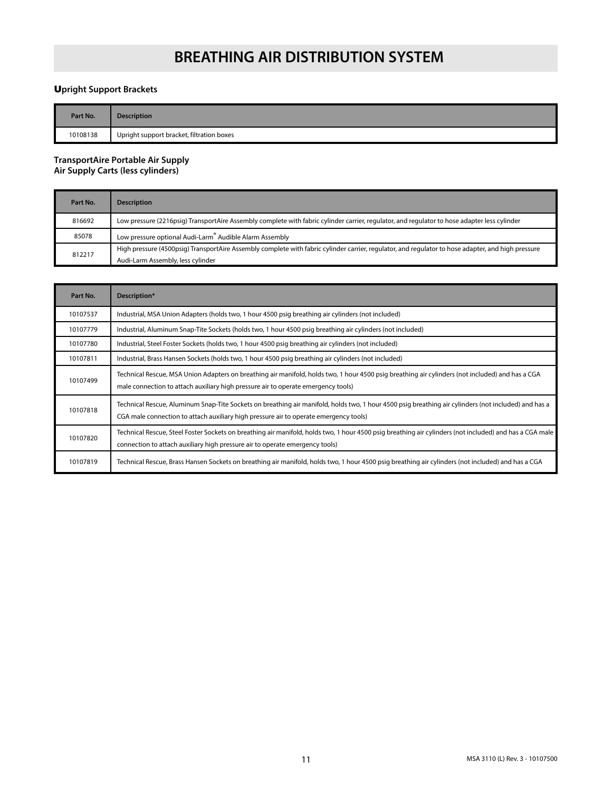#### U**pright Support Brackets**

| Part No. | <b>Description</b>                        |
|----------|-------------------------------------------|
| 10108138 | Upright support bracket, filtration boxes |

#### **TransportAire Portable Air Supply Air Supply Carts (less cylinders)**

| Part No. | <b>Description</b>                                                                                                                                                                      |  |  |
|----------|-----------------------------------------------------------------------------------------------------------------------------------------------------------------------------------------|--|--|
| 816692   | Low pressure (2216psig) TransportAire Assembly complete with fabric cylinder carrier, regulator, and regulator to hose adapter less cylinder                                            |  |  |
| 85078    | Low pressure optional Audi-Larm <sup>®</sup> Audible Alarm Assembly                                                                                                                     |  |  |
| 812217   | High pressure (4500psig) TransportAire Assembly complete with fabric cylinder carrier, regulator, and regulator to hose adapter, and high pressure<br>Audi-Larm Assembly, less cylinder |  |  |

| Part No. | Description*                                                                                                                                                                                                                                  |
|----------|-----------------------------------------------------------------------------------------------------------------------------------------------------------------------------------------------------------------------------------------------|
| 10107537 | Industrial, MSA Union Adapters (holds two, 1 hour 4500 psig breathing air cylinders (not included)                                                                                                                                            |
| 10107779 | Industrial, Aluminum Snap-Tite Sockets (holds two, 1 hour 4500 psig breathing air cylinders (not included)                                                                                                                                    |
| 10107780 | Industrial, Steel Foster Sockets (holds two, 1 hour 4500 psig breathing air cylinders (not included)                                                                                                                                          |
| 10107811 | Industrial, Brass Hansen Sockets (holds two, 1 hour 4500 psig breathing air cylinders (not included)                                                                                                                                          |
| 10107499 | Technical Rescue, MSA Union Adapters on breathing air manifold, holds two, 1 hour 4500 psig breathing air cylinders (not included) and has a CGA<br>male connection to attach auxiliary high pressure air to operate emergency tools)         |
| 10107818 | Technical Rescue, Aluminum Snap-Tite Sockets on breathing air manifold, holds two, 1 hour 4500 psig breathing air cylinders (not included) and has a<br>CGA male connection to attach auxiliary high pressure air to operate emergency tools) |
| 10107820 | Technical Rescue, Steel Foster Sockets on breathing air manifold, holds two, 1 hour 4500 psig breathing air cylinders (not included) and has a CGA male<br>connection to attach auxiliary high pressure air to operate emergency tools)       |
| 10107819 | Technical Rescue, Brass Hansen Sockets on breathing air manifold, holds two, 1 hour 4500 psig breathing air cylinders (not included) and has a CGA                                                                                            |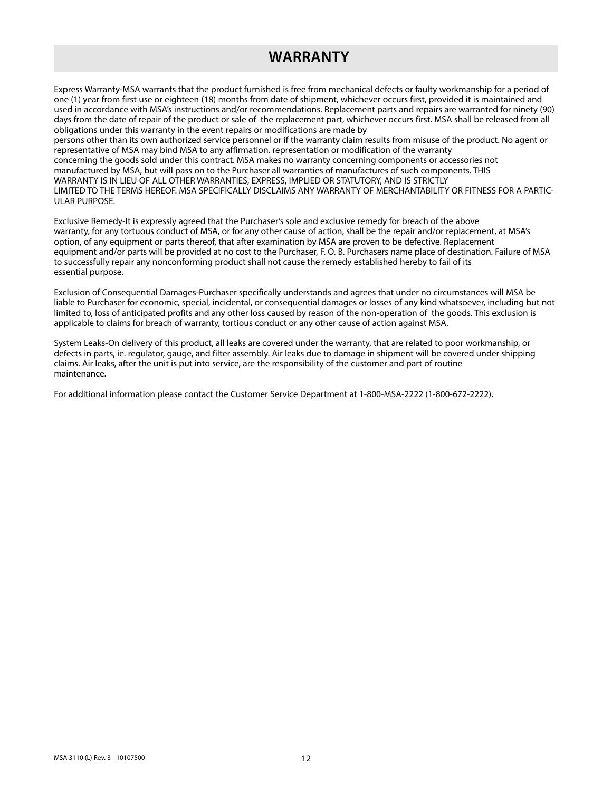## **WARRANTY**

Express Warranty-MSA warrants that the product furnished is free from mechanical defects or faulty workmanship for a period of one (1) year from first use or eighteen (18) months from date of shipment, whichever occurs first, provided it is maintained and used in accordance with MSA's instructions and/or recommendations. Replacement parts and repairs are warranted for ninety (90) days from the date of repair of the product or sale of the replacement part, whichever occurs first. MSA shall be released from all obligations under this warranty in the event repairs or modifications are made by

persons other than its own authorized service personnel or if the warranty claim results from misuse of the product. No agent or representative of MSA may bind MSA to any affirmation, representation or modification of the warranty concerning the goods sold under this contract. MSA makes no warranty concerning components or accessories not manufactured by MSA, but will pass on to the Purchaser all warranties of manufactures of such components. THIS WARRANTY IS IN LIEU OF ALL OTHER WARRANTIES, EXPRESS, IMPLIED OR STATUTORY, AND IS STRICTLY LIMITED TO THE TERMS HEREOF. MSA SPECIFICALLY DISCLAIMS ANY WARRANTY OF MERCHANTABILITY OR FITNESS FOR A PARTIC-ULAR PURPOSE.

Exclusive Remedy-It is expressly agreed that the Purchaser's sole and exclusive remedy for breach of the above warranty, for any tortuous conduct of MSA, or for any other cause of action, shall be the repair and/or replacement, at MSA's option, of any equipment or parts thereof, that after examination by MSA are proven to be defective. Replacement equipment and/or parts will be provided at no cost to the Purchaser, F. O. B. Purchasers name place of destination. Failure of MSA to successfully repair any nonconforming product shall not cause the remedy established hereby to fail of its essential purpose.

Exclusion of Consequential Damages-Purchaser specifically understands and agrees that under no circumstances will MSA be liable to Purchaser for economic, special, incidental, or consequential damages or losses of any kind whatsoever, including but not limited to, loss of anticipated profits and any other loss caused by reason of the non-operation of the goods. This exclusion is applicable to claims for breach of warranty, tortious conduct or any other cause of action against MSA.

System Leaks-On delivery of this product, all leaks are covered under the warranty, that are related to poor workmanship, or defects in parts, ie. regulator, gauge, and filter assembly. Air leaks due to damage in shipment will be covered under shipping claims. Air leaks, after the unit is put into service, are the responsibility of the customer and part of routine maintenance.

For additional information please contact the Customer Service Department at 1-800-MSA-2222 (1-800-672-2222).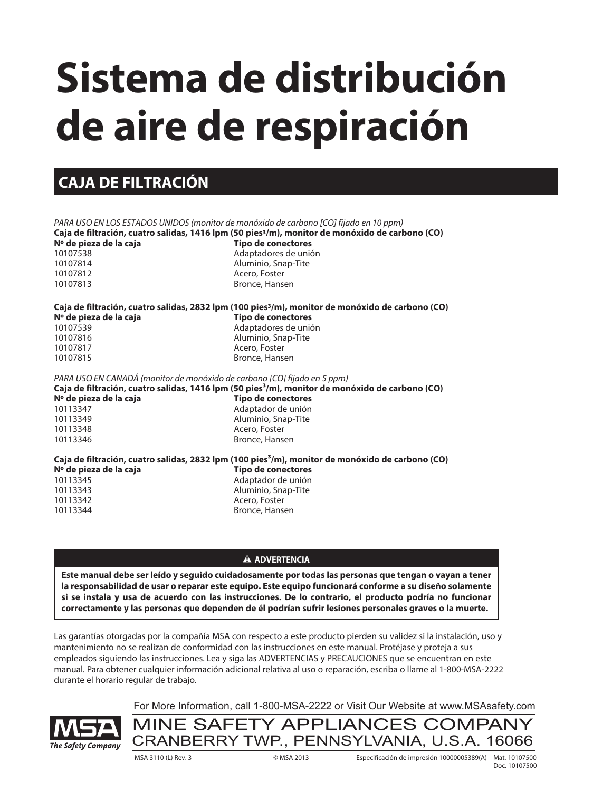# **Sistema de distribución de aire de respiración**

## **CAJA DE FILTRACIÓN**

PARA USO EN LOS ESTADOS UNIDOS (monitor de monóxido de carbono [CO] fijado en 10 ppm) **Caja de filtración, cuatro salidas, 1416 lpm (50 pies3/m), monitor de monóxido de carbono (CO) Nº de pieza de la caja Tipo de conectores**<br>10107538 **Adaptadores** de unió Adaptadores de unión 10107814 Aluminio, Snap-Tite 10107812 Acero, Foster 10107813 Bronce, Hansen **Caja de filtración, cuatro salidas, 2832 lpm (100 pies3/m), monitor de monóxido de carbono (CO) Nº de pieza de la caja Tipo de conectores** 10107539 Adaptadores de unión 10107816 Aluminio, Snap-Tite 10107817 Acero, Foster 10107815 Bronce, Hansen PARA USO EN CANADÁ (monitor de monóxido de carbono [CO] fijado en 5 ppm) **Caja de filtración, cuatro salidas, 1416 lpm (50 pies³/m), monitor de monóxido de carbono (CO)** Nº de pieza de la caja **Nº de conectores** 10113347 Adaptador de unión 10113349 Aluminio, Snap-Tite 10113348 Acero, Foster 10113346 Bronce, Hansen **Caja de filtración, cuatro salidas, 2832 lpm (100 pies³/m), monitor de monóxido de carbono (CO) Nº de pieza de la caja Tipo de conectores** 10113345 Adaptador de unión 10113343 Aluminio, Snap-Tite 10113342 Acero, Foster 10113344 Bronce, Hansen

#### **A ADVERTENCIA**

**Este manual debe ser leído y seguido cuidadosamente por todas las personas que tengan o vayan a tener la responsabilidad de usar o reparar este equipo. Este equipo funcionará conforme a su diseño solamente si se instala y usa de acuerdo con las instrucciones. De lo contrario, el producto podría no funcionar correctamente y las personas que dependen de él podrían sufrir lesiones personales graves o la muerte.**

Las garantías otorgadas por la compañía MSA con respecto a este producto pierden su validez si la instalación, uso y mantenimiento no se realizan de conformidad con las instrucciones en este manual. Protéjase y proteja a sus empleados siguiendo las instrucciones. Lea y siga las ADVERTENCIAS y PRECAUCIONES que se encuentran en este manual. Para obtener cualquier información adicional relativa al uso o reparación, escriba o llame al 1-800-MSA-2222 durante el horario regular de trabajo.



For More Information, call 1-800-MSA-2222 or Visit Our Website at www.MSAsafety.com

MINE SAFETY APPLIANCES COMPANY CRANBERRY TWP., PENNSYLVANIA, U.S.A. 16066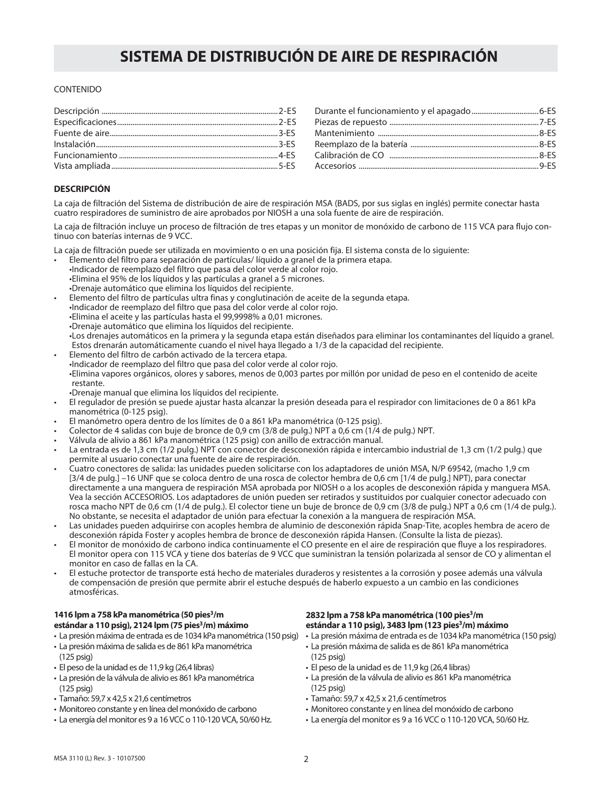#### CONTENIDO

#### **DESCRIPCIÓN**

La caja de filtración del Sistema de distribución de aire de respiración MSA (BADS, por sus siglas en inglés) permite conectar hasta cuatro respiradores de suministro de aire aprobados por NIOSH a una sola fuente de aire de respiración.

La caja de filtración incluye un proceso de filtración de tres etapas y un monitor de monóxido de carbono de 115 VCA para flujo continuo con baterías internas de 9 VCC.

La caja de filtración puede ser utilizada en movimiento o en una posición fija. El sistema consta de lo siguiente:

- Elemento del filtro para separación de partículas/ líquido a granel de la primera etapa. • Indicador de reemplazo del filtro que pasa del color verde al color rojo. • Elimina el 95% de los líquidos y las partículas a granel a 5 micrones. • Drenaje automático que elimina los líquidos del recipiente.
- Elemento del filtro de partículas ultra finas y conglutinación de aceite de la segunda etapa. • Indicador de reemplazo del filtro que pasa del color verde al color rojo. • Elimina el aceite y las partículas hasta el 99,9998% a 0,01 micrones. • Drenaje automático que elimina los líquidos del recipiente. • Los drenajes automáticos en la primera y la segunda etapa están diseñados para eliminar los contaminantes del líquido a granel. Estos drenarán automáticamente cuando el nivel haya llegado a 1/3 de la capacidad del recipiente.
- Elemento del filtro de carbón activado de la tercera etapa. • Indicador de reemplazo del filtro que pasa del color verde al color rojo. • Elimina vapores orgánicos, olores y sabores, menos de 0,003 partes por millón por unidad de peso en el contenido de aceite restante.
- Drenaje manual que elimina los líquidos del recipiente.
- El regulador de presión se puede ajustar hasta alcanzar la presión deseada para el respirador con limitaciones de 0 a 861 kPa manométrica (0-125 psig).
- El manómetro opera dentro de los límites de 0 a 861 kPa manométrica (0-125 psig).
- Colector de 4 salidas con buje de bronce de 0,9 cm (3/8 de pulg.) NPT a 0,6 cm (1/4 de pulg.) NPT.
- Válvula de alivio a 861 kPa manométrica (125 psig) con anillo de extracción manual.
- La entrada es de 1,3 cm (1/2 pulg.) NPT con conector de desconexión rápida e intercambio industrial de 1,3 cm (1/2 pulg.) que permite al usuario conectar una fuente de aire de respiración.
- Cuatro conectores de salida: las unidades pueden solicitarse con los adaptadores de unión MSA, N/P 69542, (macho 1,9 cm [3/4 de pulg.] –16 UNF que se coloca dentro de una rosca de colector hembra de 0,6 cm [1/4 de pulg.] NPT), para conectar directamente a una manguera de respiración MSA aprobada por NIOSH o a los acoples de desconexión rápida y manguera MSA. Vea la sección ACCESORIOS. Los adaptadores de unión pueden ser retirados y sustituidos por cualquier conector adecuado con rosca macho NPT de 0,6 cm (1/4 de pulg.). El colector tiene un buje de bronce de 0,9 cm (3/8 de pulg.) NPT a 0,6 cm (1/4 de pulg.). No obstante, se necesita el adaptador de unión para efectuar la conexión a la manguera de respiración MSA.
- Las unidades pueden adquirirse con acoples hembra de aluminio de desconexión rápida Snap-Tite, acoples hembra de acero de desconexión rápida Foster y acoples hembra de bronce de desconexión rápida Hansen. (Consulte la lista de piezas).
- El monitor de monóxido de carbono indica continuamente el CO presente en el aire de respiración que fluye a los respiradores. El monitor opera con 115 VCA y tiene dos baterías de 9 VCC que suministran la tensión polarizada al sensor de CO y alimentan el monitor en caso de fallas en la CA.
- El estuche protector de transporte está hecho de materiales duraderos y resistentes a la corrosión y posee además una válvula de compensación de presión que permite abrir el estuche después de haberlo expuesto a un cambio en las condiciones atmosféricas.

#### **1416 lpm a 758 kPa manométrica (50 pies3/m**  estándar a 110 psig), 2124 lpm (75 pies<sup>3</sup>/m) máximo

- 
- La presión máxima de salida es de 861 kPa manométrica (125 psig)
- El peso de la unidad es de 11,9 kg (26,4 libras)
- La presión de la válvula de alivio es 861 kPa manométrica (125 psig)
- Tamaño: 59,7 x 42,5 x 21,6 centímetros
- Monitoreo constante y en línea del monóxido de carbono
- La energía del monitor es 9 a 16 VCC o 110-120 VCA, 50/60 Hz.

#### **2832 lpm a 758 kPa manométrica (100 pies3/m**  estándar a 110 psig), 3483 lpm (123 pies<sup>3</sup>/m) máximo

- La presión máxima de entrada es de 1034 kPa manométrica (150 psig) La presión máxima de entrada es de 1034 kPa manométrica (150 psig)
	- La presión máxima de salida es de 861 kPa manométrica (125 psig)
	- El peso de la unidad es de 11,9 kg (26,4 libras)
	- La presión de la válvula de alivio es 861 kPa manométrica (125 psig)
	- Tamaño: 59,7 x 42,5 x 21,6 centímetros
	- Monitoreo constante y en línea del monóxido de carbono
	- La energía del monitor es 9 a 16 VCC o 110-120 VCA, 50/60 Hz.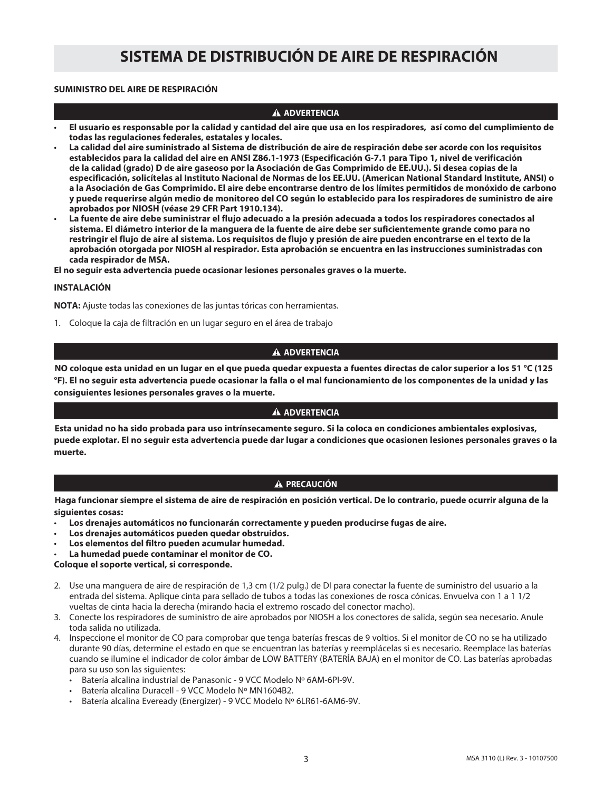#### **SUMINISTRO DEL AIRE DE RESPIRACIÓN**

#### **A ADVERTENCIA**

- **El usuario es responsable por la calidad y cantidad del aire que usa en los respiradores, así como del cumplimiento de todas las regulaciones federales, estatales y locales.**
- • **La calidad del aire suministrado al Sistema de distribución de aire de respiración debe ser acorde con los requisitos establecidos para la calidad del aire en ANSI Z86.1-1973 (Especificación G-7.1 para Tipo 1, nivel de verificación de la calidad (grado) D de aire gaseoso por la Asociación de Gas Comprimido de EE.UU.). Si desea copias de la especificación, solicítelas al Instituto Nacional de Normas de los EE.UU. (American National Standard Institute, ANSI) o a la Asociación de Gas Comprimido. El aire debe encontrarse dentro de los límites permitidos de monóxido de carbono y puede requerirse algún medio de monitoreo del CO según lo establecido para los respiradores de suministro de aire aprobados por NIOSH (véase 29 CFR Part 1910.134).**
- • **La fuente de aire debe suministrar el flujo adecuado a la presión adecuada a todos los respiradores conectados al sistema. El diámetro interior de la manguera de la fuente de aire debe ser suficientemente grande como para no restringir el flujo de aire al sistema. Los requisitos de flujo y presión de aire pueden encontrarse en el texto de la aprobación otorgada por NIOSH al respirador. Esta aprobación se encuentra en las instrucciones suministradas con cada respirador de MSA.**

**El no seguir esta advertencia puede ocasionar lesiones personales graves o la muerte.**

#### **INSTALACIÓN**

**NOTA:** Ajuste todas las conexiones de las juntas tóricas con herramientas.

1. Coloque la caja de filtración en un lugar seguro en el área de trabajo

#### **A** ADVERTENCIA

**NO coloque esta unidad en un lugar en el que pueda quedar expuesta a fuentes directas de calor superior a los 51 °C (125 °F). El no seguir esta advertencia puede ocasionar la falla o el mal funcionamiento de los componentes de la unidad y las consiguientes lesiones personales graves o la muerte.**

#### **A** ADVERTENCIA

**Esta unidad no ha sido probada para uso intrínsecamente seguro. Si la coloca en condiciones ambientales explosivas, puede explotar. El no seguir esta advertencia puede dar lugar a condiciones que ocasionen lesiones personales graves o la muerte.**

#### **A PRECAUCIÓN**

**Haga funcionar siempre el sistema de aire de respiración en posición vertical. De lo contrario, puede ocurrir alguna de la siguientes cosas:**

- **Los drenajes automáticos no funcionarán correctamente y pueden producirse fugas de aire.**
- **Los drenajes automáticos pueden quedar obstruidos.**
- **Los elementos del filtro pueden acumular humedad.**
- **La humedad puede contaminar el monitor de CO.**

**Coloque el soporte vertical, si corresponde.**

- 2. Use una manguera de aire de respiración de 1,3 cm (1/2 pulg.) de DI para conectar la fuente de suministro del usuario a la entrada del sistema. Aplique cinta para sellado de tubos a todas las conexiones de rosca cónicas. Envuelva con 1 a 1 1/2 vueltas de cinta hacia la derecha (mirando hacia el extremo roscado del conector macho).
- 3. Conecte los respiradores de suministro de aire aprobados por NIOSH a los conectores de salida, según sea necesario. Anule toda salida no utilizada.
- 4. Inspeccione el monitor de CO para comprobar que tenga baterías frescas de 9 voltios. Si el monitor de CO no se ha utilizado durante 90 días, determine el estado en que se encuentran las baterías y reemplácelas si es necesario. Reemplace las baterías cuando se ilumine el indicador de color ámbar de LOW BATTERY (BATERÍA BAJA) en el monitor de CO. Las baterías aprobadas para su uso son las siguientes:
	- Batería alcalina industrial de Panasonic 9 VCC Modelo Nº 6AM-6PI-9V.
	- Batería alcalina Duracell 9 VCC Modelo Nº MN1604B2.
	- Batería alcalina Eveready (Energizer) 9 VCC Modelo Nº 6LR61-6AM6-9V.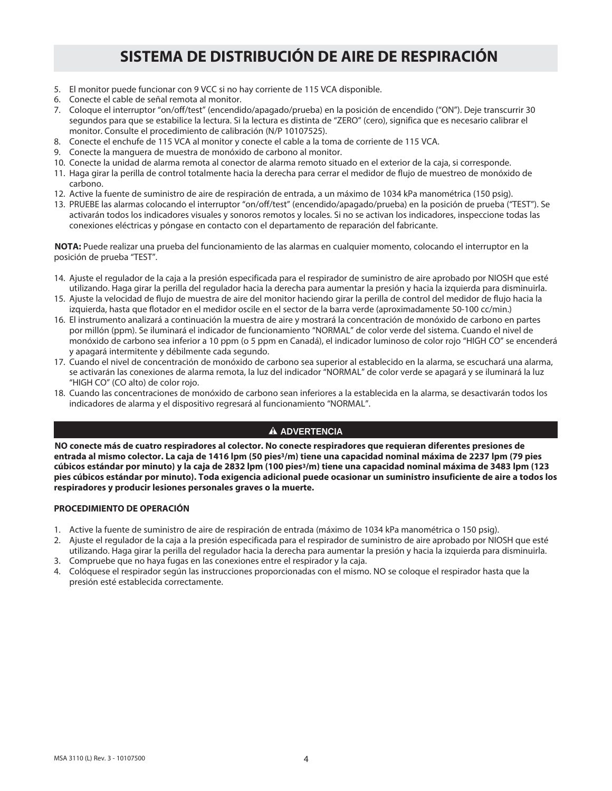- 5. El monitor puede funcionar con 9 VCC si no hay corriente de 115 VCA disponible.
- 6. Conecte el cable de señal remota al monitor.
- 7. Coloque el interruptor "on/off/test" (encendido/apagado/prueba) en la posición de encendido ("ON"). Deje transcurrir 30 segundos para que se estabilice la lectura. Si la lectura es distinta de "ZERO" (cero), significa que es necesario calibrar el monitor. Consulte el procedimiento de calibración (N/P 10107525).
- 8. Conecte el enchufe de 115 VCA al monitor y conecte el cable a la toma de corriente de 115 VCA.
- 9. Conecte la manguera de muestra de monóxido de carbono al monitor.
- 10. Conecte la unidad de alarma remota al conector de alarma remoto situado en el exterior de la caja, si corresponde.
- 11. Haga girar la perilla de control totalmente hacia la derecha para cerrar el medidor de flujo de muestreo de monóxido de carbono.
- 12. Active la fuente de suministro de aire de respiración de entrada, a un máximo de 1034 kPa manométrica (150 psig).
- 13. PRUEBE las alarmas colocando el interruptor "on/off/test" (encendido/apagado/prueba) en la posición de prueba ("TEST"). Se activarán todos los indicadores visuales y sonoros remotos y locales. Si no se activan los indicadores, inspeccione todas las conexiones eléctricas y póngase en contacto con el departamento de reparación del fabricante.

**NOTA:** Puede realizar una prueba del funcionamiento de las alarmas en cualquier momento, colocando el interruptor en la posición de prueba "TEST".

- 14. Ajuste el regulador de la caja a la presión especificada para el respirador de suministro de aire aprobado por NIOSH que esté utilizando. Haga girar la perilla del regulador hacia la derecha para aumentar la presión y hacia la izquierda para disminuirla.
- 15. Ajuste la velocidad de flujo de muestra de aire del monitor haciendo girar la perilla de control del medidor de flujo hacia la izquierda, hasta que flotador en el medidor oscile en el sector de la barra verde (aproximadamente 50-100 cc/min.)
- 16. El instrumento analizará a continuación la muestra de aire y mostrará la concentración de monóxido de carbono en partes por millón (ppm). Se iluminará el indicador de funcionamiento "NORMAL" de color verde del sistema. Cuando el nivel de monóxido de carbono sea inferior a 10 ppm (o 5 ppm en Canadá), el indicador luminoso de color rojo "HIGH CO" se encenderá y apagará intermitente y débilmente cada segundo.
- 17. Cuando el nivel de concentración de monóxido de carbono sea superior al establecido en la alarma, se escuchará una alarma, se activarán las conexiones de alarma remota, la luz del indicador "NORMAL" de color verde se apagará y se iluminará la luz "HIGH CO" (CO alto) de color rojo.
- 18. Cuando las concentraciones de monóxido de carbono sean inferiores a la establecida en la alarma, se desactivarán todos los indicadores de alarma y el dispositivo regresará al funcionamiento "NORMAL".

#### **ADVERTENCIA**

**NO conecte más de cuatro respiradores al colector. No conecte respiradores que requieran diferentes presiones de entrada al mismo colector. La caja de 1416 lpm (50 pies3/m) tiene una capacidad nominal máxima de 2237 lpm (79 pies cúbicos estándar por minuto) y la caja de 2832 lpm (100 pies3/m) tiene una capacidad nominal máxima de 3483 lpm (123 pies cúbicos estándar por minuto). Toda exigencia adicional puede ocasionar un suministro insuficiente de aire a todos los respiradores y producir lesiones personales graves o la muerte.**

#### **PROCEDIMIENTO DE OPERACIÓN**

- 1. Active la fuente de suministro de aire de respiración de entrada (máximo de 1034 kPa manométrica o 150 psig).
- 2. Ajuste el regulador de la caja a la presión especificada para el respirador de suministro de aire aprobado por NIOSH que esté utilizando. Haga girar la perilla del regulador hacia la derecha para aumentar la presión y hacia la izquierda para disminuirla.
- 3. Compruebe que no haya fugas en las conexiones entre el respirador y la caja.
- 4. Colóquese el respirador según las instrucciones proporcionadas con el mismo. NO se coloque el respirador hasta que la presión esté establecida correctamente.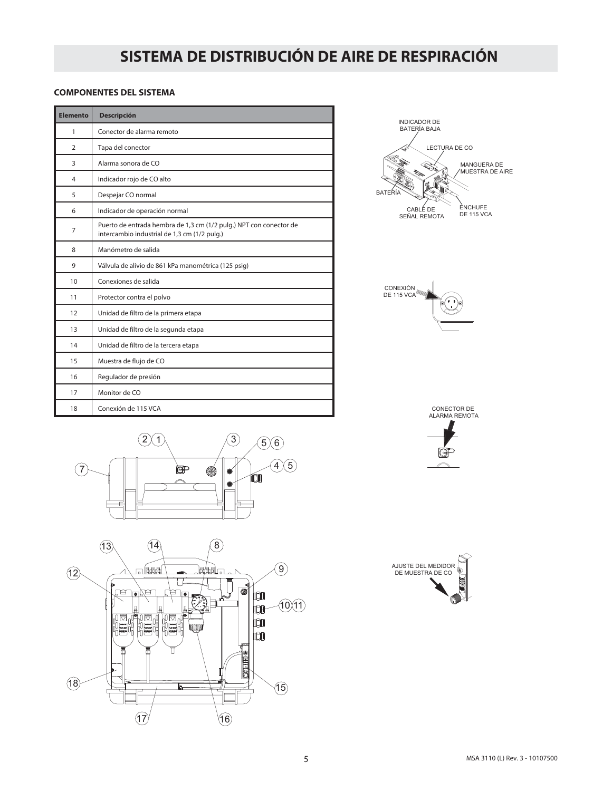#### **COMPONENTES DEL SISTEMA**

| <b>Elemento</b> | <b>Descripción</b>                                                                                                 |  |  |
|-----------------|--------------------------------------------------------------------------------------------------------------------|--|--|
| 1               | Conector de alarma remoto                                                                                          |  |  |
| $\overline{2}$  | Tapa del conector                                                                                                  |  |  |
| 3               | Alarma sonora de CO                                                                                                |  |  |
| 4               | Indicador rojo de CO alto                                                                                          |  |  |
| 5               | Despejar CO normal                                                                                                 |  |  |
| 6               | Indicador de operación normal                                                                                      |  |  |
| $\overline{7}$  | Puerto de entrada hembra de 1,3 cm (1/2 pulg.) NPT con conector de<br>intercambio industrial de 1,3 cm (1/2 pulg.) |  |  |
| 8               | Manómetro de salida                                                                                                |  |  |
| 9               | Válvula de alivio de 861 kPa manométrica (125 psig)                                                                |  |  |
| 10              | Conexiones de salida                                                                                               |  |  |
| 11              | Protector contra el polvo                                                                                          |  |  |
| 12              | Unidad de filtro de la primera etapa                                                                               |  |  |
| 13              | Unidad de filtro de la segunda etapa                                                                               |  |  |
| 14              | Unidad de filtro de la tercera etapa                                                                               |  |  |
| 15              | Muestra de flujo de CO                                                                                             |  |  |
| 16              | Regulador de presión                                                                                               |  |  |
| 17              | Monitor de CO                                                                                                      |  |  |
| 18              | Conexión de 115 VCA                                                                                                |  |  |





CONECTOR DE ALARMA REMOTA

 $\widehat{\phantom{m}}$ 





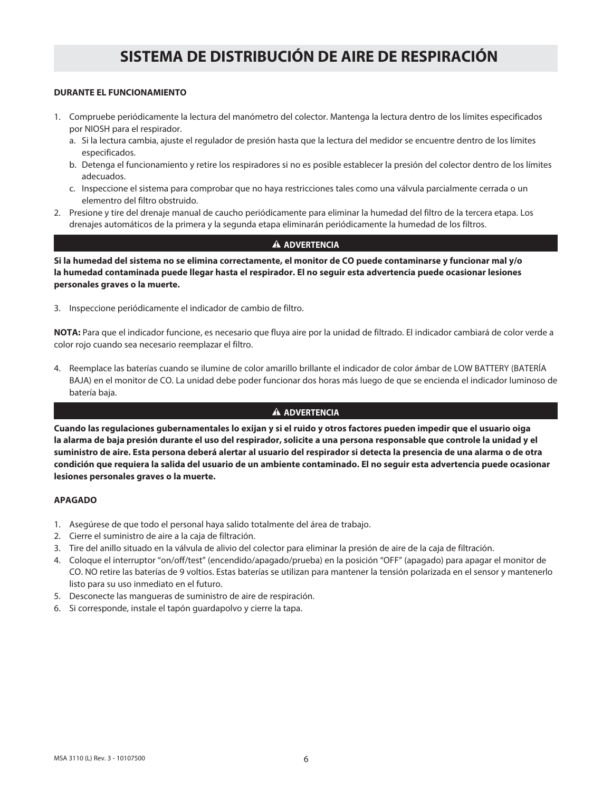#### **DURANTE EL FUNCIONAMIENTO**

- 1. Compruebe periódicamente la lectura del manómetro del colector. Mantenga la lectura dentro de los límites especificados por NIOSH para el respirador.
	- a. Si la lectura cambia, ajuste el regulador de presión hasta que la lectura del medidor se encuentre dentro de los límites especificados.
	- b. Detenga el funcionamiento y retire los respiradores si no es posible establecer la presión del colector dentro de los límites adecuados.
	- c. Inspeccione el sistema para comprobar que no haya restricciones tales como una válvula parcialmente cerrada o un elementro del filtro obstruido.
- 2. Presione y tire del drenaje manual de caucho periódicamente para eliminar la humedad del filtro de la tercera etapa. Los drenajes automáticos de la primera y la segunda etapa eliminarán periódicamente la humedad de los filtros.

#### **A** ADVERTENCIA

**Si la humedad del sistema no se elimina correctamente, el monitor de CO puede contaminarse y funcionar mal y/o la humedad contaminada puede llegar hasta el respirador. El no seguir esta advertencia puede ocasionar lesiones personales graves o la muerte.**

3. Inspeccione periódicamente el indicador de cambio de filtro.

**NOTA:** Para que el indicador funcione, es necesario que fluya aire por la unidad de filtrado. El indicador cambiará de color verde a color rojo cuando sea necesario reemplazar el filtro.

4. Reemplace las baterías cuando se ilumine de color amarillo brillante el indicador de color ámbar de LOW BATTERY (BATERÍA BAJA) en el monitor de CO. La unidad debe poder funcionar dos horas más luego de que se encienda el indicador luminoso de batería baja.

#### **A** ADVERTENCIA

**Cuando las regulaciones gubernamentales lo exijan y si el ruido y otros factores pueden impedir que el usuario oiga la alarma de baja presión durante el uso del respirador, solicite a una persona responsable que controle la unidad y el suministro de aire. Esta persona deberá alertar al usuario del respirador si detecta la presencia de una alarma o de otra condición que requiera la salida del usuario de un ambiente contaminado. El no seguir esta advertencia puede ocasionar lesiones personales graves o la muerte.**

#### **APAGADO**

- 1. Asegúrese de que todo el personal haya salido totalmente del área de trabajo.
- 2. Cierre el suministro de aire a la caja de filtración.
- 3. Tire del anillo situado en la válvula de alivio del colector para eliminar la presión de aire de la caja de filtración.
- 4. Coloque el interruptor "on/off/test" (encendido/apagado/prueba) en la posición "OFF" (apagado) para apagar el monitor de CO. NO retire las baterías de 9 voltios. Estas baterías se utilizan para mantener la tensión polarizada en el sensor y mantenerlo listo para su uso inmediato en el futuro.
- 5. Desconecte las mangueras de suministro de aire de respiración.
- 6. Si corresponde, instale el tapón guardapolvo y cierre la tapa.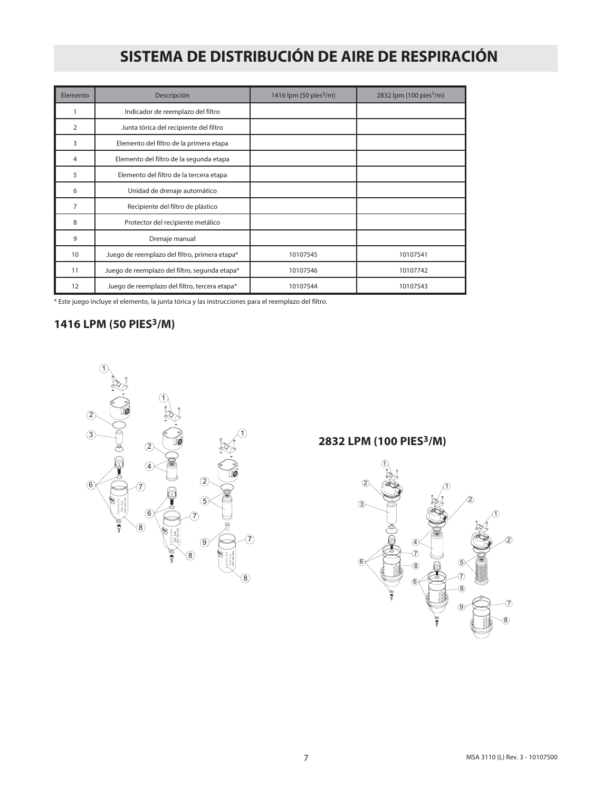| Elemento       | Descripción                                   | 1416 lpm (50 pies $^3$ /m) | 2832 lpm (100 pies <sup>3</sup> /m) |
|----------------|-----------------------------------------------|----------------------------|-------------------------------------|
|                | Indicador de reemplazo del filtro             |                            |                                     |
| $\overline{2}$ | Junta tórica del recipiente del filtro        |                            |                                     |
| 3              | Elemento del filtro de la primera etapa       |                            |                                     |
| 4              | Elemento del filtro de la segunda etapa       |                            |                                     |
| 5              | Elemento del filtro de la tercera etapa       |                            |                                     |
| 6              | Unidad de drenaje automático                  |                            |                                     |
| 7              | Recipiente del filtro de plástico             |                            |                                     |
| 8              | Protector del recipiente metálico             |                            |                                     |
| 9              | Drenaje manual                                |                            |                                     |
| 10             | Juego de reemplazo del filtro, primera etapa* | 10107545                   | 10107541                            |
| 11             | Juego de reemplazo del filtro, segunda etapa* | 10107546                   | 10107742                            |
| 12             | Juego de reemplazo del filtro, tercera etapa* | 10107544                   | 10107543                            |

\* Este juego incluye el elemento, la junta tórica y las instrucciones para el reemplazo del filtro.

### **1416 LPM (50 PIES3/M)**



### **2832 LPM (100 PIES3/M)**

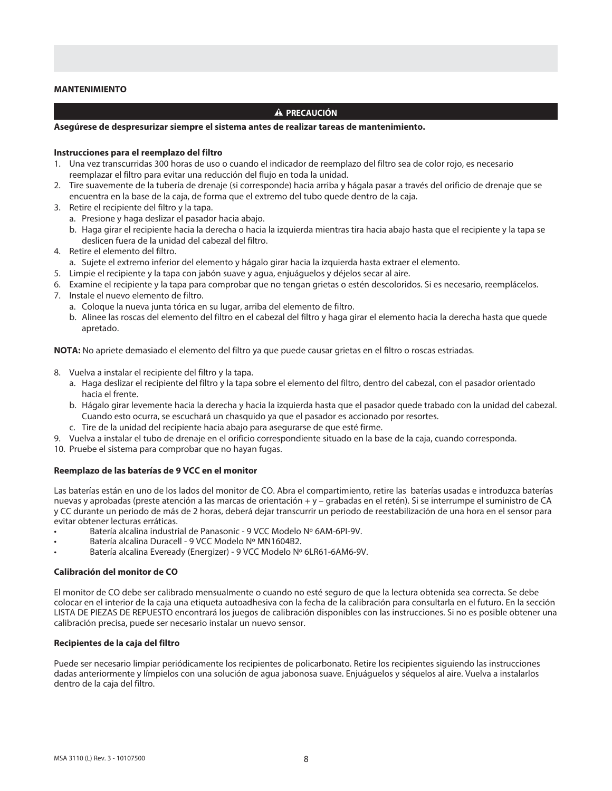#### **MANTENIMIENTO**

#### **A PRECAUCIÓN**

#### **Asegúrese de despresurizar siempre el sistema antes de realizar tareas de mantenimiento.**

#### **Instrucciones para el reemplazo del filtro**

- 1. Una vez transcurridas 300 horas de uso o cuando el indicador de reemplazo del filtro sea de color rojo, es necesario reemplazar el filtro para evitar una reducción del flujo en toda la unidad.
- 2. Tire suavemente de la tubería de drenaje (si corresponde) hacia arriba y hágala pasar a través del orificio de drenaje que se encuentra en la base de la caja, de forma que el extremo del tubo quede dentro de la caja.
- 3. Retire el recipiente del filtro y la tapa.
	- a. Presione y haga deslizar el pasador hacia abajo.
	- b. Haga girar el recipiente hacia la derecha o hacia la izquierda mientras tira hacia abajo hasta que el recipiente y la tapa se deslicen fuera de la unidad del cabezal del filtro.
- 4. Retire el elemento del filtro.
	- a. Sujete el extremo inferior del elemento y hágalo girar hacia la izquierda hasta extraer el elemento.
- 5. Limpie el recipiente y la tapa con jabón suave y agua, enjuáguelos y déjelos secar al aire.
- 6. Examine el recipiente y la tapa para comprobar que no tengan grietas o estén descoloridos. Si es necesario, reemplácelos.
- 7. Instale el nuevo elemento de filtro.
	- a. Coloque la nueva junta tórica en su lugar, arriba del elemento de filtro.
	- b. Alinee las roscas del elemento del filtro en el cabezal del filtro y haga girar el elemento hacia la derecha hasta que quede apretado.

**NOTA:** No apriete demasiado el elemento del filtro ya que puede causar grietas en el filtro o roscas estriadas.

- 8. Vuelva a instalar el recipiente del filtro y la tapa.
	- a. Haga deslizar el recipiente del filtro y la tapa sobre el elemento del filtro, dentro del cabezal, con el pasador orientado hacia el frente.
	- b. Hágalo girar levemente hacia la derecha y hacia la izquierda hasta que el pasador quede trabado con la unidad del cabezal. Cuando esto ocurra, se escuchará un chasquido ya que el pasador es accionado por resortes.
	- c. Tire de la unidad del recipiente hacia abajo para asegurarse de que esté firme.
- 9. Vuelva a instalar el tubo de drenaje en el orificio correspondiente situado en la base de la caja, cuando corresponda.
- 10. Pruebe el sistema para comprobar que no hayan fugas.

#### **Reemplazo de las baterías de 9 VCC en el monitor**

Las baterías están en uno de los lados del monitor de CO. Abra el compartimiento, retire las baterías usadas e introduzca baterías nuevas y aprobadas (preste atención a las marcas de orientación + y – grabadas en el retén). Si se interrumpe el suministro de CA y CC durante un periodo de más de 2 horas, deberá dejar transcurrir un periodo de reestabilización de una hora en el sensor para evitar obtener lecturas erráticas.

- Batería alcalina industrial de Panasonic 9 VCC Modelo Nº 6AM-6PI-9V.
- Batería alcalina Duracell 9 VCC Modelo Nº MN1604B2.
- Batería alcalina Eveready (Energizer) 9 VCC Modelo Nº 6LR61-6AM6-9V.

#### **Calibración del monitor de CO**

El monitor de CO debe ser calibrado mensualmente o cuando no esté seguro de que la lectura obtenida sea correcta. Se debe colocar en el interior de la caja una etiqueta autoadhesiva con la fecha de la calibración para consultarla en el futuro. En la sección LISTA DE PIEZAS DE REPUESTO encontrará los juegos de calibración disponibles con las instrucciones. Si no es posible obtener una calibración precisa, puede ser necesario instalar un nuevo sensor.

#### **Recipientes de la caja del filtro**

Puede ser necesario limpiar periódicamente los recipientes de policarbonato. Retire los recipientes siguiendo las instrucciones dadas anteriormente y límpielos con una solución de agua jabonosa suave. Enjuáguelos y séquelos al aire. Vuelva a instalarlos dentro de la caja del filtro.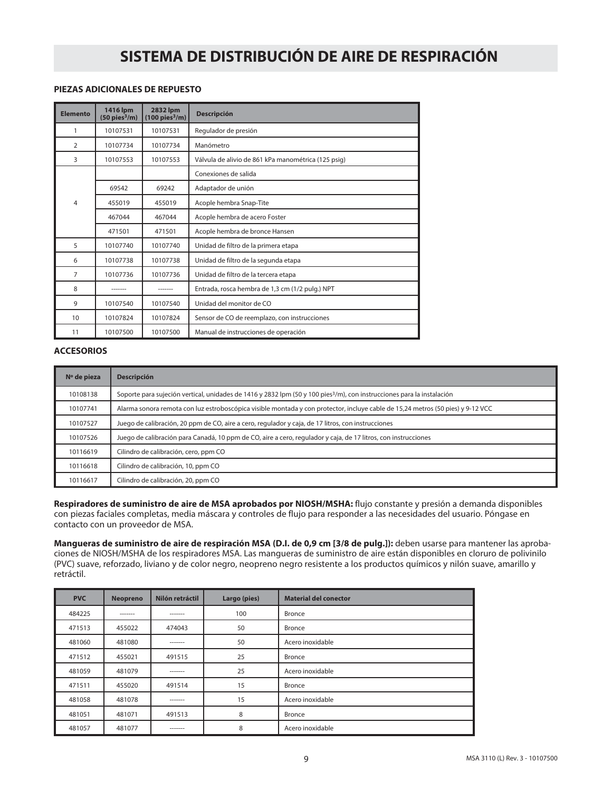#### **PIEZAS ADICIONALES DE REPUESTO**

| <b>Elemento</b> | 1416 lpm<br>$(50 \text{ pies}^3/\text{m})$ | <b>2832 lpm</b><br>$(100 \text{ pies}^3/\text{m})$ | <b>Descripción</b>                                  |
|-----------------|--------------------------------------------|----------------------------------------------------|-----------------------------------------------------|
| 1               | 10107531                                   | 10107531                                           | Regulador de presión                                |
| $\overline{2}$  | 10107734                                   | 10107734                                           | Manómetro                                           |
| 3               | 10107553                                   | 10107553                                           | Válvula de alivio de 861 kPa manométrica (125 psig) |
|                 |                                            |                                                    | Conexiones de salida                                |
|                 | 69542                                      | 69242                                              | Adaptador de unión                                  |
| $\overline{4}$  | 455019                                     | 455019                                             | Acople hembra Snap-Tite                             |
|                 | 467044                                     | 467044                                             | Acople hembra de acero Foster                       |
|                 | 471501                                     | 471501                                             | Acople hembra de bronce Hansen                      |
| 5               | 10107740                                   | 10107740                                           | Unidad de filtro de la primera etapa                |
| 6               | 10107738                                   | 10107738                                           | Unidad de filtro de la segunda etapa                |
| $\overline{7}$  | 10107736                                   | 10107736                                           | Unidad de filtro de la tercera etapa                |
| 8               |                                            | -------                                            | Entrada, rosca hembra de 1,3 cm (1/2 pulg.) NPT     |
| 9               | 10107540                                   | 10107540                                           | Unidad del monitor de CO                            |
| 10              | 10107824                                   | 10107824                                           | Sensor de CO de reemplazo, con instrucciones        |
| 11              | 10107500                                   | 10107500                                           | Manual de instrucciones de operación                |

#### **ACCESORIOS**

| Nº de pieza | <b>Descripción</b>                                                                                                                 |  |  |
|-------------|------------------------------------------------------------------------------------------------------------------------------------|--|--|
| 10108138    | Soporte para sujeción vertical, unidades de 1416 y 2832 lpm (50 y 100 pies <sup>3</sup> /m), con instrucciones para la instalación |  |  |
| 10107741    | Alarma sonora remota con luz estroboscópica visible montada y con protector, incluye cable de 15,24 metros (50 pies) y 9-12 VCC    |  |  |
| 10107527    | Juego de calibración, 20 ppm de CO, aire a cero, regulador y caja, de 17 litros, con instrucciones                                 |  |  |
| 10107526    | Juego de calibración para Canadá, 10 ppm de CO, aire a cero, regulador y caja, de 17 litros, con instrucciones                     |  |  |
| 10116619    | Cilindro de calibración, cero, ppm CO                                                                                              |  |  |
| 10116618    | Cilindro de calibración, 10, ppm CO                                                                                                |  |  |
| 10116617    | Cilindro de calibración, 20, ppm CO                                                                                                |  |  |

**Respiradores de suministro de aire de MSA aprobados por NIOSH/MSHA:** flujo constante y presión a demanda disponibles con piezas faciales completas, media máscara y controles de flujo para responder a las necesidades del usuario. Póngase en contacto con un proveedor de MSA.

**Mangueras de suministro de aire de respiración MSA (D.I. de 0,9 cm [3/8 de pulg.]):** deben usarse para mantener las aprobaciones de NIOSH/MSHA de los respiradores MSA. Las mangueras de suministro de aire están disponibles en cloruro de polivinilo (PVC) suave, reforzado, liviano y de color negro, neopreno negro resistente a los productos químicos y nilón suave, amarillo y retráctil.

| <b>PVC</b> | <b>Neopreno</b> | Nilón retráctil | Largo (pies) | <b>Material del conector</b> |
|------------|-----------------|-----------------|--------------|------------------------------|
| 484225     | -------         | -------         | 100          | <b>Bronce</b>                |
| 471513     | 455022          | 474043          | 50           | Bronce                       |
| 481060     | 481080          | -------         | 50           | Acero inoxidable             |
| 471512     | 455021          | 491515          | 25           | <b>Bronce</b>                |
| 481059     | 481079          | -------         | 25           | Acero inoxidable             |
| 471511     | 455020          | 491514          | 15           | Bronce                       |
| 481058     | 481078          | --------        | 15           | Acero inoxidable             |
| 481051     | 481071          | 491513          | 8            | <b>Bronce</b>                |
| 481057     | 481077          | -------         | 8            | Acero inoxidable             |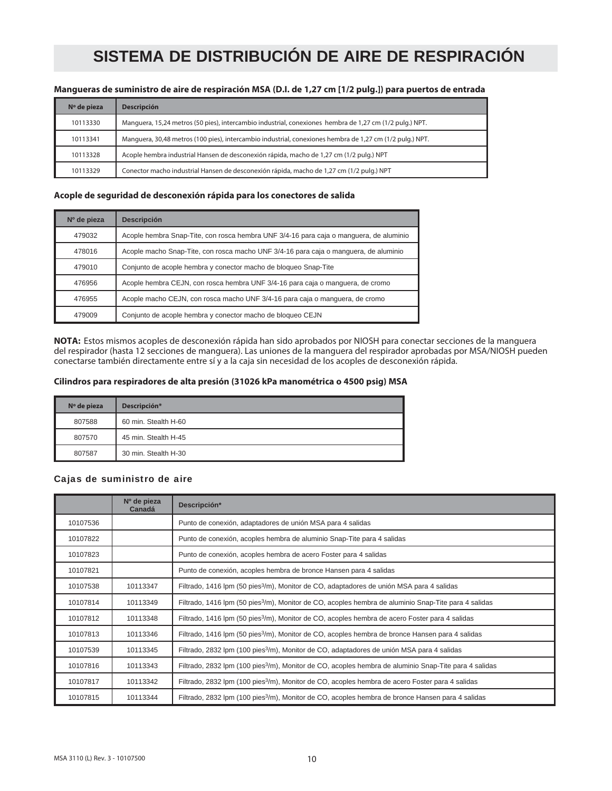#### **Mangueras de suministro de aire de respiración MSA (D.I. de 1,27 cm [1/2 pulg.]) para puertos de entrada**

| Nº de pieza | <b>Descripción</b>                                                                                       |
|-------------|----------------------------------------------------------------------------------------------------------|
| 10113330    | Manguera, 15,24 metros (50 pies), intercambio industrial, conexiones hembra de 1,27 cm (1/2 pulg.) NPT.  |
| 10113341    | Manguera, 30,48 metros (100 pies), intercambio industrial, conexiones hembra de 1,27 cm (1/2 pulg.) NPT. |
| 10113328    | Acople hembra industrial Hansen de desconexión rápida, macho de 1,27 cm (1/2 pulg.) NPT                  |
| 10113329    | Conector macho industrial Hansen de desconexión rápida, macho de 1,27 cm (1/2 pulg.) NPT                 |

#### **Acople de seguridad de desconexión rápida para los conectores de salida**

| $No$ de pieza | <b>Descripción</b>                                                                     |
|---------------|----------------------------------------------------------------------------------------|
| 479032        | Acople hembra Snap-Tite, con rosca hembra UNF 3/4-16 para caja o manguera, de aluminio |
| 478016        | Acople macho Snap-Tite, con rosca macho UNF 3/4-16 para caja o manguera, de aluminio   |
| 479010        | Conjunto de acople hembra y conector macho de bloqueo Snap-Tite                        |
| 476956        | Acople hembra CEJN, con rosca hembra UNF 3/4-16 para caja o manguera, de cromo         |
| 476955        | Acople macho CEJN, con rosca macho UNF 3/4-16 para caja o manguera, de cromo           |
| 479009        | Conjunto de acople hembra y conector macho de bloqueo CEJN                             |

**NOTA:** Estos mismos acoples de desconexión rápida han sido aprobados por NIOSH para conectar secciones de la manguera del respirador (hasta 12 secciones de manguera). Las uniones de la manguera del respirador aprobadas por MSA/NIOSH pueden conectarse también directamente entre sí y a la caja sin necesidad de los acoples de desconexión rápida.

#### **Cilindros para respiradores de alta presión (31026 kPa manométrica o 4500 psig) MSA**

| Nº de pieza | Descripción*         |
|-------------|----------------------|
| 807588      | 60 min. Stealth H-60 |
| 807570      | 45 min. Stealth H-45 |
| 807587      | 30 min. Stealth H-30 |

#### Cajas de suministro de aire

|          | Nº de pieza<br>Canadá | Descripción*                                                                                                      |
|----------|-----------------------|-------------------------------------------------------------------------------------------------------------------|
| 10107536 |                       | Punto de conexión, adaptadores de unión MSA para 4 salidas                                                        |
| 10107822 |                       | Punto de conexión, acoples hembra de aluminio Snap-Tite para 4 salidas                                            |
| 10107823 |                       | Punto de conexión, acoples hembra de acero Foster para 4 salidas                                                  |
| 10107821 |                       | Punto de conexión, acoples hembra de bronce Hansen para 4 salidas                                                 |
| 10107538 | 10113347              | Filtrado, 1416 lpm (50 pies <sup>3</sup> /m), Monitor de CO, adaptadores de unión MSA para 4 salidas              |
| 10107814 | 10113349              | Filtrado, 1416 Ipm (50 pies <sup>3</sup> /m), Monitor de CO, acoples hembra de aluminio Snap-Tite para 4 salidas  |
| 10107812 | 10113348              | Filtrado, 1416 Ipm (50 pies <sup>3</sup> /m), Monitor de CO, acoples hembra de acero Foster para 4 salidas        |
| 10107813 | 10113346              | Filtrado, 1416 Ipm (50 pies <sup>3</sup> /m), Monitor de CO, acoples hembra de bronce Hansen para 4 salidas       |
| 10107539 | 10113345              | Filtrado, 2832 lpm (100 pies <sup>3</sup> /m), Monitor de CO, adaptadores de unión MSA para 4 salidas             |
| 10107816 | 10113343              | Filtrado, 2832 Ipm (100 pies <sup>3</sup> /m), Monitor de CO, acoples hembra de aluminio Snap-Tite para 4 salidas |
| 10107817 | 10113342              | Filtrado, 2832 Ipm (100 pies <sup>3</sup> /m), Monitor de CO, acoples hembra de acero Foster para 4 salidas       |
| 10107815 | 10113344              | Filtrado, 2832 Ipm (100 pies <sup>3</sup> /m), Monitor de CO, acoples hembra de bronce Hansen para 4 salidas      |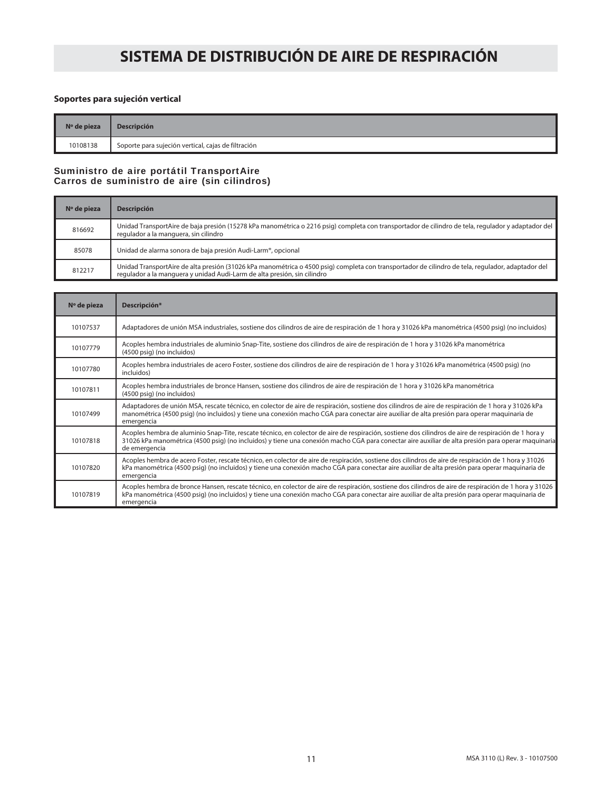#### **Soportes para sujeción vertical**

| $No$ de pieza | <b>Descripción</b>                                  |
|---------------|-----------------------------------------------------|
| 10108138      | Soporte para sujeción vertical, cajas de filtración |

#### Suministro de aire portátil TransportAire Carros de suministro de aire (sin cilindros)

| Nº de pieza | <b>Descripción</b>                                                                                                                                                                                                            |
|-------------|-------------------------------------------------------------------------------------------------------------------------------------------------------------------------------------------------------------------------------|
| 816692      | Unidad TransportAire de baja presión (15278 kPa manométrica o 2216 psig) completa con transportador de cilindro de tela, regulador y adaptador del<br>regulador a la manguera, sin cilindro                                   |
| 85078       | Unidad de alarma sonora de baja presión Audi-Larm®, opcional                                                                                                                                                                  |
| 812217      | Unidad TransportAire de alta presión (31026 kPa manométrica o 4500 psig) completa con transportador de cilindro de tela, regulador, adaptador del<br>regulador a la manguera y unidad Audi-Larm de alta presión, sin cilindro |

| Nº de pieza | Descripción*                                                                                                                                                                                                                                                                                                                |
|-------------|-----------------------------------------------------------------------------------------------------------------------------------------------------------------------------------------------------------------------------------------------------------------------------------------------------------------------------|
| 10107537    | Adaptadores de unión MSA industriales, sostiene dos cilindros de aire de respiración de 1 hora y 31026 kPa manométrica (4500 psig) (no incluidos)                                                                                                                                                                           |
| 10107779    | Acoples hembra industriales de aluminio Snap-Tite, sostiene dos cilindros de aire de respiración de 1 hora y 31026 kPa manométrica<br>(4500 psig) (no incluidos)                                                                                                                                                            |
| 10107780    | Acoples hembra industriales de acero Foster, sostiene dos cilindros de aire de respiración de 1 hora y 31026 kPa manométrica (4500 psig) (no<br>incluidos)                                                                                                                                                                  |
| 10107811    | Acoples hembra industriales de bronce Hansen, sostiene dos cilindros de aire de respiración de 1 hora y 31026 kPa manométrica<br>(4500 psig) (no incluidos)                                                                                                                                                                 |
| 10107499    | Adaptadores de unión MSA, rescate técnico, en colector de aire de respiración, sostiene dos cilindros de aire de respiración de 1 hora y 31026 kPa<br>manométrica (4500 psig) (no incluidos) y tiene una conexión macho CGA para conectar aire auxiliar de alta presión para operar maquinaria de<br>emergencia             |
| 10107818    | Acoples hembra de aluminio Snap-Tite, rescate técnico, en colector de aire de respiración, sostiene dos cilindros de aire de respiración de 1 hora y<br>31026 kPa manométrica (4500 psig) (no incluidos) y tiene una conexión macho CGA para conectar aire auxiliar de alta presión para operar maguinaria<br>de emergencia |
| 10107820    | Acoples hembra de acero Foster, rescate técnico, en colector de aire de respiración, sostiene dos cilindros de aire de respiración de 1 hora y 31026<br>kPa manométrica (4500 psig) (no incluidos) y tiene una conexión macho CGA para conectar aire auxiliar de alta presión para operar maquinaria de<br>emergencia       |
| 10107819    | Acoples hembra de bronce Hansen, rescate técnico, en colector de aire de respiración, sostiene dos cilindros de aire de respiración de 1 hora y 31026<br>kPa manométrica (4500 psig) (no incluidos) y tiene una conexión macho CGA para conectar aire auxiliar de alta presión para operar maquinaria de<br>emergencia      |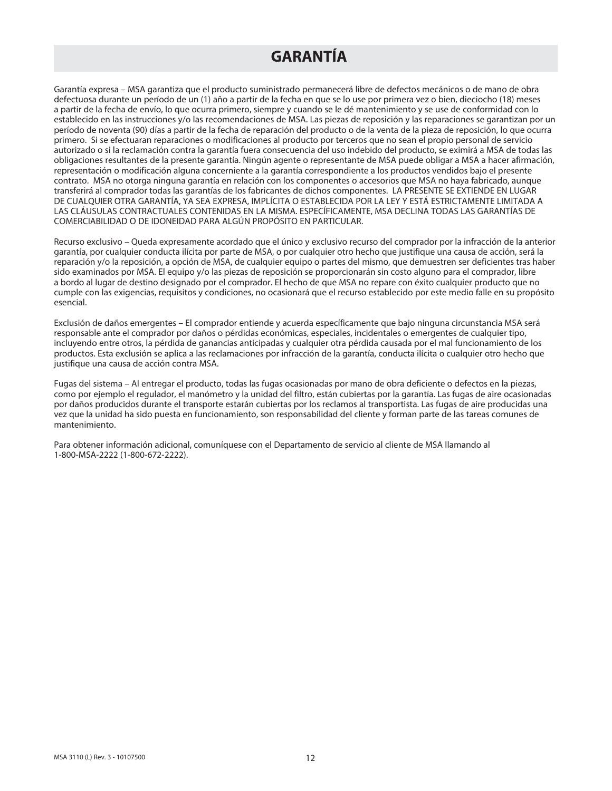## **GARANTÍA**

Garantía expresa – MSA garantiza que el producto suministrado permanecerá libre de defectos mecánicos o de mano de obra defectuosa durante un período de un (1) año a partir de la fecha en que se lo use por primera vez o bien, dieciocho (18) meses a partir de la fecha de envío, lo que ocurra primero, siempre y cuando se le dé mantenimiento y se use de conformidad con lo establecido en las instrucciones y/o las recomendaciones de MSA. Las piezas de reposición y las reparaciones se garantizan por un período de noventa (90) días a partir de la fecha de reparación del producto o de la venta de la pieza de reposición, lo que ocurra primero. Si se efectuaran reparaciones o modificaciones al producto por terceros que no sean el propio personal de servicio autorizado o si la reclamación contra la garantía fuera consecuencia del uso indebido del producto, se eximirá a MSA de todas las obligaciones resultantes de la presente garantía. Ningún agente o representante de MSA puede obligar a MSA a hacer afirmación, representación o modificación alguna concerniente a la garantía correspondiente a los productos vendidos bajo el presente contrato. MSA no otorga ninguna garantía en relación con los componentes o accesorios que MSA no haya fabricado, aunque transferirá al comprador todas las garantías de los fabricantes de dichos componentes. LA PRESENTE SE EXTIENDE EN LUGAR DE CUALQUIER OTRA GARANTÍA, YA SEA EXPRESA, IMPLÍCITA O ESTABLECIDA POR LA LEY Y ESTÁ ESTRICTAMENTE LIMITADA A LAS CLÁUSULAS CONTRACTUALES CONTENIDAS EN LA MISMA. ESPECÍFICAMENTE, MSA DECLINA TODAS LAS GARANTÍAS DE COMERCIABILIDAD O DE IDONEIDAD PARA ALGÚN PROPÓSITO EN PARTICULAR.

Recurso exclusivo – Queda expresamente acordado que el único y exclusivo recurso del comprador por la infracción de la anterior garantía, por cualquier conducta ilícita por parte de MSA, o por cualquier otro hecho que justifique una causa de acción, será la reparación y/o la reposición, a opción de MSA, de cualquier equipo o partes del mismo, que demuestren ser deficientes tras haber sido examinados por MSA. El equipo y/o las piezas de reposición se proporcionarán sin costo alguno para el comprador, libre a bordo al lugar de destino designado por el comprador. El hecho de que MSA no repare con éxito cualquier producto que no cumple con las exigencias, requisitos y condiciones, no ocasionará que el recurso establecido por este medio falle en su propósito esencial.

Exclusión de daños emergentes – El comprador entiende y acuerda específicamente que bajo ninguna circunstancia MSA será responsable ante el comprador por daños o pérdidas económicas, especiales, incidentales o emergentes de cualquier tipo, incluyendo entre otros, la pérdida de ganancias anticipadas y cualquier otra pérdida causada por el mal funcionamiento de los productos. Esta exclusión se aplica a las reclamaciones por infracción de la garantía, conducta ilícita o cualquier otro hecho que justifique una causa de acción contra MSA.

Fugas del sistema – Al entregar el producto, todas las fugas ocasionadas por mano de obra deficiente o defectos en la piezas, como por ejemplo el regulador, el manómetro y la unidad del filtro, están cubiertas por la garantía. Las fugas de aire ocasionadas por daños producidos durante el transporte estarán cubiertas por los reclamos al transportista. Las fugas de aire producidas una vez que la unidad ha sido puesta en funcionamiento, son responsabilidad del cliente y forman parte de las tareas comunes de mantenimiento.

Para obtener información adicional, comuníquese con el Departamento de servicio al cliente de MSA llamando al 1-800-MSA-2222 (1-800-672-2222).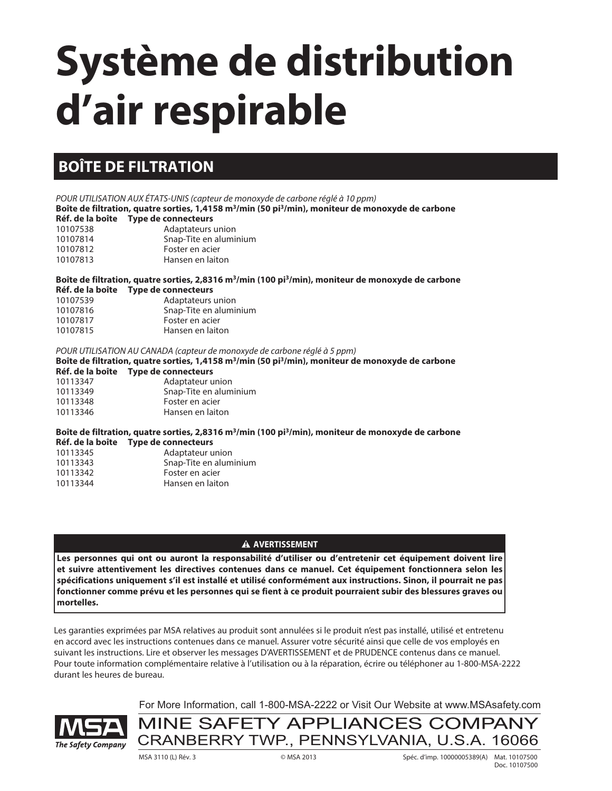# **Système de distribution d'air respirable**

## **BOÎTE DE FILTRATION**

POUR UTILISATION AUX ÉTATS-UNIS (capteur de monoxyde de carbone réglé à 10 ppm) **Boîte de filtration, quatre sorties, 1,4158 m3/min (50 pi3/min), moniteur de monoxyde de carbone Réf. de la boîte Type de connecteurs** 10107538 Adaptateurs union

| 10107814 | Snap-Tite en aluminium |
|----------|------------------------|
| 10107812 | Foster en acier        |
| 10107813 | Hansen en laiton       |
|          |                        |

**Boîte de filtration, quatre sorties, 2,8316 m3/min (100 pi3/min), moniteur de monoxyde de carbone**

|          | Réf. de la boîte Type de connecteurs |
|----------|--------------------------------------|
| 10107539 | Adaptateurs union                    |
| 10107816 | Snap-Tite en aluminium               |
| 10107817 | Foster en acier                      |
| 10107815 | Hansen en laiton                     |

POUR UTILISATION AU CANADA (capteur de monoxyde de carbone réglé à 5 ppm)

**Boîte de filtration, quatre sorties, 1,4158 m3/min (50 pi3/min), moniteur de monoxyde de carbone**

#### **Réf. de la boîte Type de connecteurs**

| 10113347 | Adaptateur union       |
|----------|------------------------|
| 10113349 | Snap-Tite en aluminium |
| 10113348 | Foster en acier        |
| 10113346 | Hansen en laiton       |
|          |                        |

**Boîte de filtration, quatre sorties, 2,8316 m3/min (100 pi3/min), moniteur de monoxyde de carbone Réf. de la boîte Type de connecteurs**

| 10113345 | Adaptateur union       |
|----------|------------------------|
| 10113343 | Snap-Tite en aluminium |
| 10113342 | Foster en acier        |
| 10113344 | Hansen en laiton       |
|          |                        |

#### **A** AVERTISSEMENT

**Les personnes qui ont ou auront la responsabilité d'utiliser ou d'entretenir cet équipement doivent lire et suivre attentivement les directives contenues dans ce manuel. Cet équipement fonctionnera selon les spécifications uniquement s'il est installé et utilisé conformément aux instructions. Sinon, il pourrait ne pas fonctionner comme prévu et les personnes qui se fient à ce produit pourraient subir des blessures graves ou mortelles.**

Les garanties exprimées par MSA relatives au produit sont annulées si le produit n'est pas installé, utilisé et entretenu en accord avec les instructions contenues dans ce manuel. Assurer votre sécurité ainsi que celle de vos employés en suivant les instructions. Lire et observer les messages D'AVERTISSEMENT et de PRUDENCE contenus dans ce manuel. Pour toute information complémentaire relative à l'utilisation ou à la réparation, écrire ou téléphoner au 1-800-MSA-2222 durant les heures de bureau.



For More Information, call 1-800-MSA-2222 or Visit Our Website at www.MSAsafety.com

MINE SAFETY APPLIANCES COMPANY CRANBERRY TWP., PENNSYLVANIA, U.S.A. 16066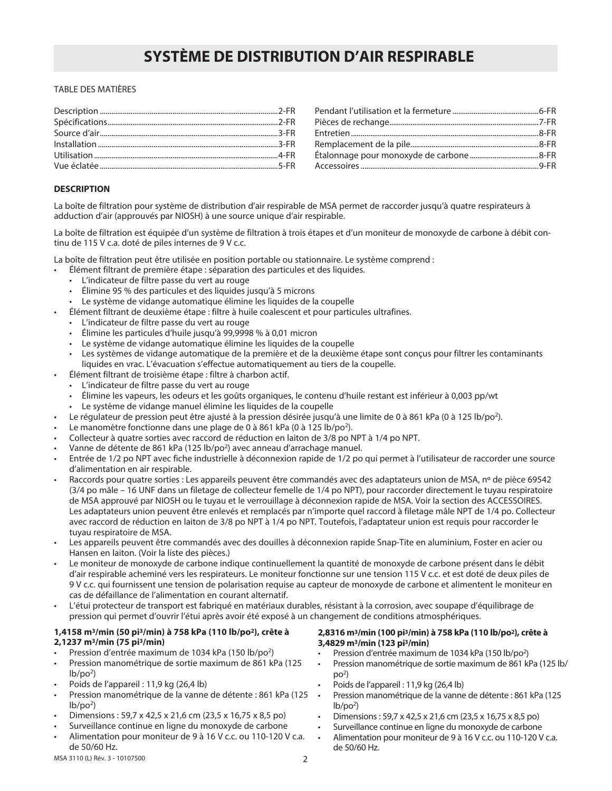#### TABLE DES MATIÈRES

#### **DESCRIPTION**

La boîte de filtration pour système de distribution d'air respirable de MSA permet de raccorder jusqu'à quatre respirateurs à adduction d'air (approuvés par NIOSH) à une source unique d'air respirable.

La boîte de filtration est équipée d'un système de filtration à trois étapes et d'un moniteur de monoxyde de carbone à débit continu de 115 V c.a. doté de piles internes de 9 V c.c.

La boîte de filtration peut être utilisée en position portable ou stationnaire. Le système comprend :

- Élément filtrant de première étape : séparation des particules et des liquides.
	- L'indicateur de filtre passe du vert au rouge
	- Élimine 95 % des particules et des liquides jusqu'à 5 microns
	- Le système de vidange automatique élimine les liquides de la coupelle
- Élément filtrant de deuxième étape : filtre à huile coalescent et pour particules ultrafines.
	- L'indicateur de filtre passe du vert au rouge
	- Élimine les particules d'huile jusqu'à 99,9998 % à 0,01 micron
	- Le système de vidange automatique élimine les liquides de la coupelle
	- Les systèmes de vidange automatique de la première et de la deuxième étape sont conçus pour filtrer les contaminants liquides en vrac. L'évacuation s'effectue automatiquement au tiers de la coupelle.
- Élément filtrant de troisième étape : filtre à charbon actif.
	- L'indicateur de filtre passe du vert au rouge
	- Élimine les vapeurs, les odeurs et les goûts organiques, le contenu d'huile restant est inférieur à 0,003 pp/wt
	- Le système de vidange manuel élimine les liquides de la coupelle
- Le régulateur de pression peut être ajusté à la pression désirée jusqu'à une limite de 0 à 861 kPa (0 à 125 lb/po<sup>2</sup>).
- Le manomètre fonctionne dans une plage de 0 à 861 kPa (0 à 125 lb/po<sup>2</sup>).
- Collecteur à quatre sorties avec raccord de réduction en laiton de 3/8 po NPT à 1/4 po NPT.
- Vanne de détente de 861 kPa (125 lb/po<sup>2</sup>) avec anneau d'arrachage manuel.
- Entrée de 1/2 po NPT avec fiche industrielle à déconnexion rapide de 1/2 po qui permet à l'utilisateur de raccorder une source d'alimentation en air respirable.
- Raccords pour quatre sorties : Les appareils peuvent être commandés avec des adaptateurs union de MSA, nº de pièce 69542 (3/4 po mâle – 16 UNF dans un filetage de collecteur femelle de 1/4 po NPT), pour raccorder directement le tuyau respiratoire de MSA approuvé par NIOSH ou le tuyau et le verrouillage à déconnexion rapide de MSA. Voir la section des ACCESSOIRES. Les adaptateurs union peuvent être enlevés et remplacés par n'importe quel raccord à filetage mâle NPT de 1/4 po. Collecteur avec raccord de réduction en laiton de 3/8 po NPT à 1/4 po NPT. Toutefois, l'adaptateur union est requis pour raccorder le tuyau respiratoire de MSA.
- Les appareils peuvent être commandés avec des douilles à déconnexion rapide Snap-Tite en aluminium, Foster en acier ou Hansen en laiton. (Voir la liste des pièces.)
- Le moniteur de monoxyde de carbone indique continuellement la quantité de monoxyde de carbone présent dans le débit d'air respirable acheminé vers les respirateurs. Le moniteur fonctionne sur une tension 115 V c.c. et est doté de deux piles de 9 V c.c. qui fournissent une tension de polarisation requise au capteur de monoxyde de carbone et alimentent le moniteur en cas de défaillance de l'alimentation en courant alternatif.
- L'étui protecteur de transport est fabriqué en matériaux durables, résistant à la corrosion, avec soupape d'équilibrage de pression qui permet d'ouvrir l'étui après avoir été exposé à un changement de conditions atmosphériques.

#### **1,4158 m3/min (50 pi3/min) à 758 kPa (110 lb/po2), crête à 2,1237 m3/min (75 pi3/min)**

- Pression d'entrée maximum de 1034 kPa (150 lb/po2)
- Pression manométrique de sortie maximum de 861 kPa (125  $lb/po<sup>2</sup>$
- Poids de l'appareil : 11,9 kg (26,4 lb)
- Pression manométrique de la vanne de détente : 861 kPa (125  $lb/po<sup>2</sup>$
- Dimensions : 59,7 x 42,5 x 21,6 cm (23,5 x 16,75 x 8,5 po)
- Surveillance continue en ligne du monoxyde de carbone
- Alimentation pour moniteur de 9 à 16 V c.c. ou 110-120 V c.a. de 50/60 Hz.

#### **2,8316 m3/min (100 pi3/min) à 758 kPa (110 lb/po2), crête à 3,4829 m3/min (123 pi3/min)**

- Pression d'entrée maximum de 1034 kPa (150 lb/po<sup>2</sup>)
- Pression manométrique de sortie maximum de 861 kPa (125 lb/  $po<sup>2</sup>$
- Poids de l'appareil : 11,9 kg (26,4 lb)
- Pression manométrique de la vanne de détente : 861 kPa (125  $lb/po<sup>2</sup>$
- Dimensions : 59,7 x 42,5 x 21,6 cm (23,5 x 16,75 x 8,5 po)
- Surveillance continue en ligne du monoxyde de carbone
- Alimentation pour moniteur de 9 à 16 V c.c. ou 110-120 V c.a. de 50/60 Hz.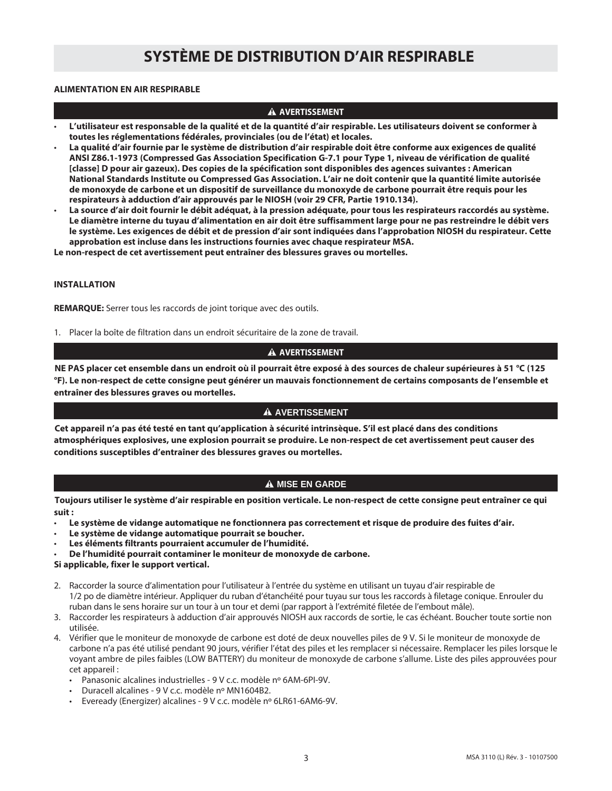#### **ALIMENTATION EN AIR RESPIRABLE**

#### **A** AVERTISSEMENT

- **L'utilisateur est responsable de la qualité et de la quantité d'air respirable. Les utilisateurs doivent se conformer à toutes les réglementations fédérales, provinciales (ou de l'état) et locales.**
- **La qualité d'air fournie par le système de distribution d'air respirable doit être conforme aux exigences de qualité ANSI Z86.1-1973 (Compressed Gas Association Specification G-7.1 pour Type 1, niveau de vérification de qualité [classe] D pour air gazeux). Des copies de la spécification sont disponibles des agences suivantes : American National Standards Institute ou Compressed Gas Association. L'air ne doit contenir que la quantité limite autorisée de monoxyde de carbone et un dispositif de surveillance du monoxyde de carbone pourrait être requis pour les respirateurs à adduction d'air approuvés par le NIOSH (voir 29 CFR, Partie 1910.134).**
- **La source d'air doit fournir le débit adéquat, à la pression adéquate, pour tous les respirateurs raccordés au système. Le diamètre interne du tuyau d'alimentation en air doit être suffisamment large pour ne pas restreindre le débit vers le système. Les exigences de débit et de pression d'air sont indiquées dans l'approbation NIOSH du respirateur. Cette approbation est incluse dans les instructions fournies avec chaque respirateur MSA.**

**Le non-respect de cet avertissement peut entraîner des blessures graves ou mortelles.**

#### **INSTALLATION**

**REMARQUE:** Serrer tous les raccords de joint torique avec des outils.

1. Placer la boîte de filtration dans un endroit sécuritaire de la zone de travail.

#### **A** AVERTISSEMENT

**NE PAS placer cet ensemble dans un endroit où il pourrait être exposé à des sources de chaleur supérieures à 51 °C (125 °F). Le non-respect de cette consigne peut générer un mauvais fonctionnement de certains composants de l'ensemble et entraîner des blessures graves ou mortelles.**

#### **A AVERTISSEMENT**

**Cet appareil n'a pas été testé en tant qu'application à sécurité intrinsèque. S'il est placé dans des conditions atmosphériques explosives, une explosion pourrait se produire. Le non-respect de cet avertissement peut causer des conditions susceptibles d'entraîner des blessures graves ou mortelles.**

#### **A MISE EN GARDE**

**Toujours utiliser le système d'air respirable en position verticale. Le non-respect de cette consigne peut entraîner ce qui suit :**

- **Le système de vidange automatique ne fonctionnera pas correctement et risque de produire des fuites d'air.**
- • **Le système de vidange automatique pourrait se boucher.**
- • **Les éléments filtrants pourraient accumuler de l'humidité.**
- • **De l'humidité pourrait contaminer le moniteur de monoxyde de carbone.**

**Si applicable, fixer le support vertical.**

- 2. Raccorder la source d'alimentation pour l'utilisateur à l'entrée du système en utilisant un tuyau d'air respirable de 1/2 po de diamètre intérieur. Appliquer du ruban d'étanchéité pour tuyau sur tous les raccords à filetage conique. Enrouler du ruban dans le sens horaire sur un tour à un tour et demi (par rapport à l'extrémité filetée de l'embout mâle).
- 3. Raccorder les respirateurs à adduction d'air approuvés NIOSH aux raccords de sortie, le cas échéant. Boucher toute sortie non utilisée.
- 4. Vérifier que le moniteur de monoxyde de carbone est doté de deux nouvelles piles de 9 V. Si le moniteur de monoxyde de carbone n'a pas été utilisé pendant 90 jours, vérifier l'état des piles et les remplacer si nécessaire. Remplacer les piles lorsque le voyant ambre de piles faibles (LOW BATTERY) du moniteur de monoxyde de carbone s'allume. Liste des piles approuvées pour cet appareil :
	- Panasonic alcalines industrielles 9 V c.c. modèle nº 6AM-6PI-9V.
	- Duracell alcalines 9 V c.c. modèle nº MN1604B2.
	- Eveready (Energizer) alcalines 9 V c.c. modèle nº 6LR61-6AM6-9V.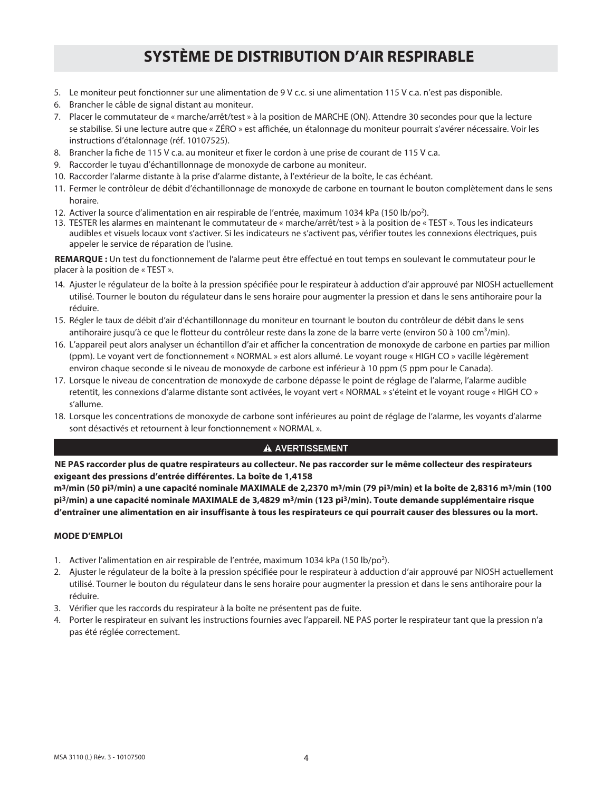- 5. Le moniteur peut fonctionner sur une alimentation de 9 V c.c. si une alimentation 115 V c.a. n'est pas disponible.
- 6. Brancher le câble de signal distant au moniteur.
- 7. Placer le commutateur de « marche/arrêt/test » à la position de MARCHE (ON). Attendre 30 secondes pour que la lecture se stabilise. Si une lecture autre que « ZÉRO » est affichée, un étalonnage du moniteur pourrait s'avérer nécessaire. Voir les instructions d'étalonnage (réf. 10107525).
- 8. Brancher la fiche de 115 V c.a. au moniteur et fixer le cordon à une prise de courant de 115 V c.a.
- 9. Raccorder le tuyau d'échantillonnage de monoxyde de carbone au moniteur.
- 10. Raccorder l'alarme distante à la prise d'alarme distante, à l'extérieur de la boîte, le cas échéant.
- 11. Fermer le contrôleur de débit d'échantillonnage de monoxyde de carbone en tournant le bouton complètement dans le sens horaire.
- 12. Activer la source d'alimentation en air respirable de l'entrée, maximum 1034 kPa (150 lb/po<sup>2</sup>).
- 13. TESTER les alarmes en maintenant le commutateur de « marche/arrêt/test » à la position de « TEST ». Tous les indicateurs audibles et visuels locaux vont s'activer. Si les indicateurs ne s'activent pas, vérifier toutes les connexions électriques, puis appeler le service de réparation de l'usine.

**REMARQUE :** Un test du fonctionnement de l'alarme peut être effectué en tout temps en soulevant le commutateur pour le placer à la position de « TEST ».

- 14. Ajuster le régulateur de la boîte à la pression spécifiée pour le respirateur à adduction d'air approuvé par NIOSH actuellement utilisé. Tourner le bouton du régulateur dans le sens horaire pour augmenter la pression et dans le sens antihoraire pour la réduire.
- 15. Régler le taux de débit d'air d'échantillonnage du moniteur en tournant le bouton du contrôleur de débit dans le sens antihoraire jusqu'à ce que le flotteur du contrôleur reste dans la zone de la barre verte (environ 50 à 100 cm<sup>3</sup>/min).
- 16. L'appareil peut alors analyser un échantillon d'air et afficher la concentration de monoxyde de carbone en parties par million (ppm). Le voyant vert de fonctionnement « NORMAL » est alors allumé. Le voyant rouge « HIGH CO » vacille légèrement environ chaque seconde si le niveau de monoxyde de carbone est inférieur à 10 ppm (5 ppm pour le Canada).
- 17. Lorsque le niveau de concentration de monoxyde de carbone dépasse le point de réglage de l'alarme, l'alarme audible retentit, les connexions d'alarme distante sont activées, le voyant vert « NORMAL » s'éteint et le voyant rouge « HIGH CO » s'allume.
- 18. Lorsque les concentrations de monoxyde de carbone sont inférieures au point de réglage de l'alarme, les voyants d'alarme sont désactivés et retournent à leur fonctionnement « NORMAL ».

#### **A AVERTISSEMENT**

**NE PAS raccorder plus de quatre respirateurs au collecteur. Ne pas raccorder sur le même collecteur des respirateurs exigeant des pressions d'entrée différentes. La boîte de 1,4158** 

**m3/min (50 pi3/min) a une capacité nominale MAXIMALE de 2,2370 m3/min (79 pi3/min) et la boîte de 2,8316 m3/min (100 pi3/min) a une capacité nominale MAXIMALE de 3,4829 m3/min (123 pi3/min). Toute demande supplémentaire risque d'entraîner une alimentation en air insuffisante à tous les respirateurs ce qui pourrait causer des blessures ou la mort.**

#### **MODE D'EMPLOI**

- 1. Activer l'alimentation en air respirable de l'entrée, maximum 1034 kPa (150 lb/po<sup>2</sup>).
- 2. Ajuster le régulateur de la boîte à la pression spécifiée pour le respirateur à adduction d'air approuvé par NIOSH actuellement utilisé. Tourner le bouton du régulateur dans le sens horaire pour augmenter la pression et dans le sens antihoraire pour la réduire.
- 3. Vérifier que les raccords du respirateur à la boîte ne présentent pas de fuite.
- 4. Porter le respirateur en suivant les instructions fournies avec l'appareil. NE PAS porter le respirateur tant que la pression n'a pas été réglée correctement.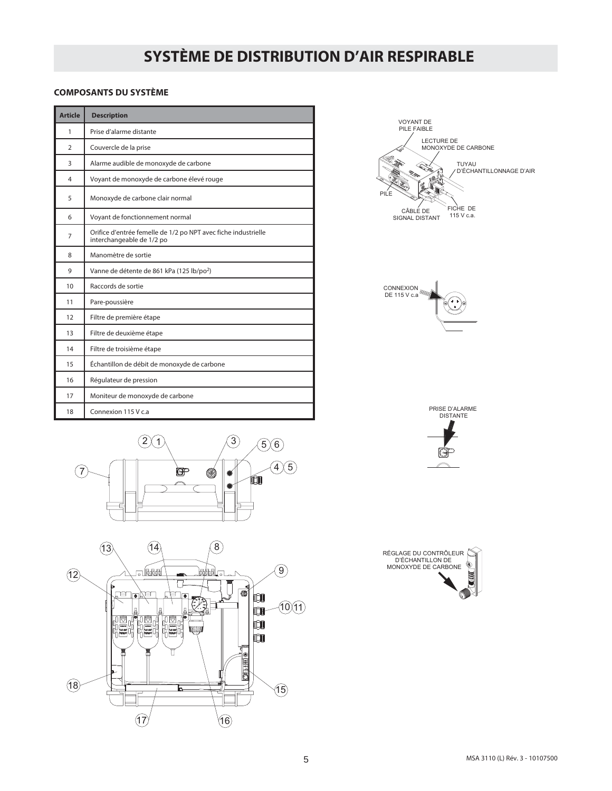#### **COMPOSANTS DU SYSTÈME**

| <b>Article</b> | <b>Description</b>                                                                          |
|----------------|---------------------------------------------------------------------------------------------|
| 1              | Prise d'alarme distante                                                                     |
| $\overline{2}$ | Couvercle de la prise                                                                       |
| 3              | Alarme audible de monoxyde de carbone                                                       |
| 4              | Voyant de monoxyde de carbone élevé rouge                                                   |
| 5              | Monoxyde de carbone clair normal                                                            |
| 6              | Voyant de fonctionnement normal                                                             |
| 7              | Orifice d'entrée femelle de 1/2 po NPT avec fiche industrielle<br>interchangeable de 1/2 po |
| 8              | Manomètre de sortie                                                                         |
| 9              | Vanne de détente de 861 kPa (125 lb/po <sup>2</sup> )                                       |
| 10             | Raccords de sortie                                                                          |
| 11             | Pare-poussière                                                                              |
| 12             | Filtre de première étape                                                                    |
| 13             | Filtre de deuxième étape                                                                    |
| 14             | Filtre de troisième étape                                                                   |
| 15             | Échantillon de débit de monoxyde de carbone                                                 |
| 16             | Régulateur de pression                                                                      |
| 17             | Moniteur de monoxyde de carbone                                                             |
| 18             | Connexion 115 V c.a                                                                         |











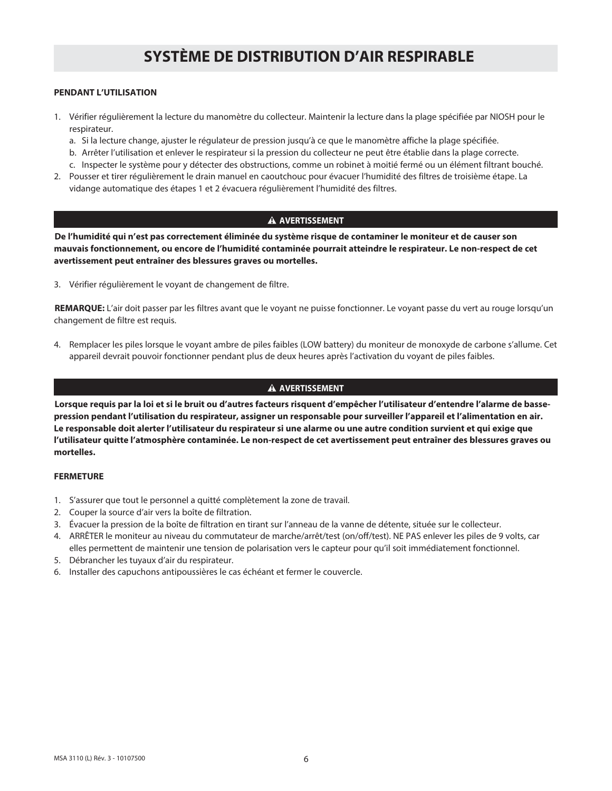#### **PENDANT L'UTILISATION**

- 1. Vérifier régulièrement la lecture du manomètre du collecteur. Maintenir la lecture dans la plage spécifiée par NIOSH pour le respirateur.
	- a. Si la lecture change, ajuster le régulateur de pression jusqu'à ce que le manomètre affiche la plage spécifiée.
	- b. Arrêter l'utilisation et enlever le respirateur si la pression du collecteur ne peut être établie dans la plage correcte.
	- c. Inspecter le système pour y détecter des obstructions, comme un robinet à moitié fermé ou un élément filtrant bouché.
- 2. Pousser et tirer régulièrement le drain manuel en caoutchouc pour évacuer l'humidité des filtres de troisième étape. La vidange automatique des étapes 1 et 2 évacuera régulièrement l'humidité des filtres.

#### **A AVERTISSEMENT**

**De l'humidité qui n'est pas correctement éliminée du système risque de contaminer le moniteur et de causer son mauvais fonctionnement, ou encore de l'humidité contaminée pourrait atteindre le respirateur. Le non-respect de cet avertissement peut entraîner des blessures graves ou mortelles.**

3. Vérifier régulièrement le voyant de changement de filtre.

**REMARQUE:** L'air doit passer par les filtres avant que le voyant ne puisse fonctionner. Le voyant passe du vert au rouge lorsqu'un changement de filtre est requis.

4. Remplacer les piles lorsque le voyant ambre de piles faibles (LOW battery) du moniteur de monoxyde de carbone s'allume. Cet appareil devrait pouvoir fonctionner pendant plus de deux heures après l'activation du voyant de piles faibles.

#### **A AVERTISSEMENT**

**Lorsque requis par la loi et si le bruit ou d'autres facteurs risquent d'empêcher l'utilisateur d'entendre l'alarme de bassepression pendant l'utilisation du respirateur, assigner un responsable pour surveiller l'appareil et l'alimentation en air. Le responsable doit alerter l'utilisateur du respirateur si une alarme ou une autre condition survient et qui exige que l'utilisateur quitte l'atmosphère contaminée. Le non-respect de cet avertissement peut entraîner des blessures graves ou mortelles.**

#### **FERMETURE**

- 1. S'assurer que tout le personnel a quitté complètement la zone de travail.
- 2. Couper la source d'air vers la boîte de filtration.
- 3. Évacuer la pression de la boîte de filtration en tirant sur l'anneau de la vanne de détente, située sur le collecteur.
- 4. ARRÊTER le moniteur au niveau du commutateur de marche/arrêt/test (on/off/test). NE PAS enlever les piles de 9 volts, car elles permettent de maintenir une tension de polarisation vers le capteur pour qu'il soit immédiatement fonctionnel.
- 5. Débrancher les tuyaux d'air du respirateur.
- 6. Installer des capuchons antipoussières le cas échéant et fermer le couvercle.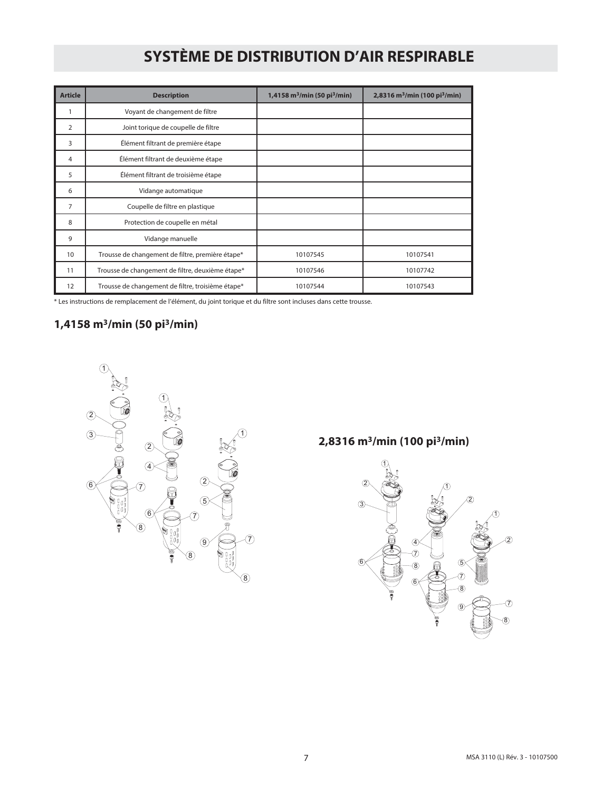| <b>Article</b> | <b>Description</b>                                | 1,4158 m <sup>3</sup> /min (50 pi <sup>3</sup> /min) | 2,8316 m <sup>3</sup> /min (100 pi <sup>3</sup> /min) |
|----------------|---------------------------------------------------|------------------------------------------------------|-------------------------------------------------------|
|                | Voyant de changement de filtre                    |                                                      |                                                       |
| $\overline{2}$ | Joint torique de coupelle de filtre               |                                                      |                                                       |
| 3              | Élément filtrant de première étape                |                                                      |                                                       |
| 4              | Élément filtrant de deuxième étape                |                                                      |                                                       |
| 5              | Élément filtrant de troisième étape               |                                                      |                                                       |
| 6              | Vidange automatique                               |                                                      |                                                       |
| $\overline{7}$ | Coupelle de filtre en plastique                   |                                                      |                                                       |
| 8              | Protection de coupelle en métal                   |                                                      |                                                       |
| 9              | Vidange manuelle                                  |                                                      |                                                       |
| 10             | Trousse de changement de filtre, première étape*  | 10107545                                             | 10107541                                              |
| 11             | Trousse de changement de filtre, deuxième étape*  | 10107546                                             | 10107742                                              |
| 12             | Trousse de changement de filtre, troisième étape* | 10107544                                             | 10107543                                              |

\* Les instructions de remplacement de l'élément, du joint torique et du filtre sont incluses dans cette trousse.

### **1,4158 m3/min (50 pi3/min)**



## **2,8316 m3/min (100 pi3/min)**

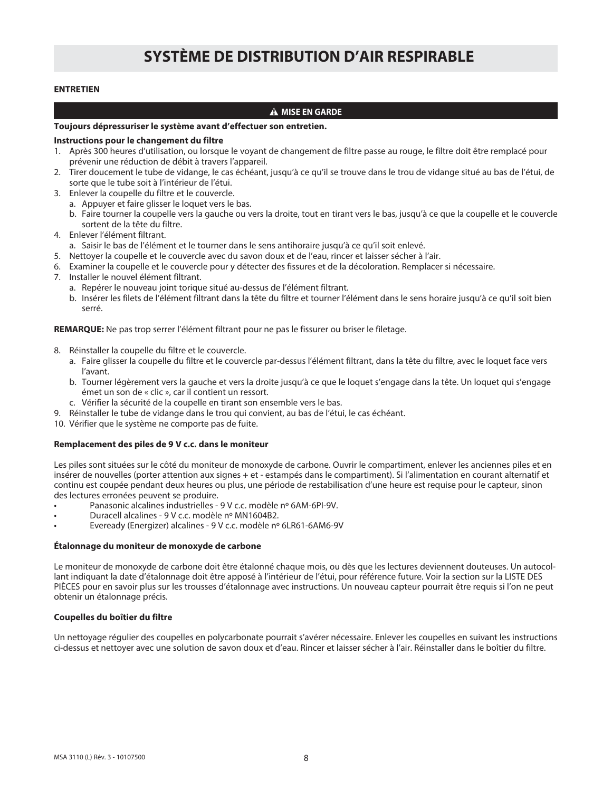#### **ENTRETIEN**

#### **A MISE EN GARDE**

#### **Toujours dépressuriser le système avant d'effectuer son entretien.**

#### **Instructions pour le changement du filtre**

- 1. Après 300 heures d'utilisation, ou lorsque le voyant de changement de filtre passe au rouge, le filtre doit être remplacé pour prévenir une réduction de débit à travers l'appareil.
- 2. Tirer doucement le tube de vidange, le cas échéant, jusqu'à ce qu'il se trouve dans le trou de vidange situé au bas de l'étui, de sorte que le tube soit à l'intérieur de l'étui.
- 3. Enlever la coupelle du filtre et le couvercle.
	- a. Appuyer et faire glisser le loquet vers le bas.
	- b. Faire tourner la coupelle vers la gauche ou vers la droite, tout en tirant vers le bas, jusqu'à ce que la coupelle et le couvercle sortent de la tête du filtre.
- 4. Enlever l'élément filtrant.
	- a. Saisir le bas de l'élément et le tourner dans le sens antihoraire jusqu'à ce qu'il soit enlevé.
- 5. Nettoyer la coupelle et le couvercle avec du savon doux et de l'eau, rincer et laisser sécher à l'air.
- 6. Examiner la coupelle et le couvercle pour y détecter des fissures et de la décoloration. Remplacer si nécessaire.
- 7. Installer le nouvel élément filtrant.
	- a. Repérer le nouveau joint torique situé au-dessus de l'élément filtrant.
	- b. Insérer les filets de l'élément filtrant dans la tête du filtre et tourner l'élément dans le sens horaire jusqu'à ce qu'il soit bien serré.

**REMARQUE:** Ne pas trop serrer l'élément filtrant pour ne pas le fissurer ou briser le filetage.

- 8. Réinstaller la coupelle du filtre et le couvercle.
	- a. Faire glisser la coupelle du filtre et le couvercle par-dessus l'élément filtrant, dans la tête du filtre, avec le loquet face vers l'avant.
	- b. Tourner légèrement vers la gauche et vers la droite jusqu'à ce que le loquet s'engage dans la tête. Un loquet qui s'engage émet un son de « clic », car il contient un ressort.
	- c. Vérifier la sécurité de la coupelle en tirant son ensemble vers le bas.
- 9. Réinstaller le tube de vidange dans le trou qui convient, au bas de l'étui, le cas échéant.
- 10. Vérifier que le système ne comporte pas de fuite.

#### **Remplacement des piles de 9 V c.c. dans le moniteur**

Les piles sont situées sur le côté du moniteur de monoxyde de carbone. Ouvrir le compartiment, enlever les anciennes piles et en insérer de nouvelles (porter attention aux signes + et - estampés dans le compartiment). Si l'alimentation en courant alternatif et continu est coupée pendant deux heures ou plus, une période de restabilisation d'une heure est requise pour le capteur, sinon des lectures erronées peuvent se produire.

- Panasonic alcalines industrielles 9 V c.c. modèle nº 6AM-6PI-9V.
- Duracell alcalines 9 V c.c. modèle nº MN1604B2.
- Eveready (Energizer) alcalines 9 V c.c. modèle nº 6LR61-6AM6-9V

#### **Étalonnage du moniteur de monoxyde de carbone**

Le moniteur de monoxyde de carbone doit être étalonné chaque mois, ou dès que les lectures deviennent douteuses. Un autocollant indiquant la date d'étalonnage doit être apposé à l'intérieur de l'étui, pour référence future. Voir la section sur la LISTE DES PIÈCES pour en savoir plus sur les trousses d'étalonnage avec instructions. Un nouveau capteur pourrait être requis si l'on ne peut obtenir un étalonnage précis.

#### **Coupelles du boîtier du filtre**

Un nettoyage régulier des coupelles en polycarbonate pourrait s'avérer nécessaire. Enlever les coupelles en suivant les instructions ci-dessus et nettoyer avec une solution de savon doux et d'eau. Rincer et laisser sécher à l'air. Réinstaller dans le boîtier du filtre.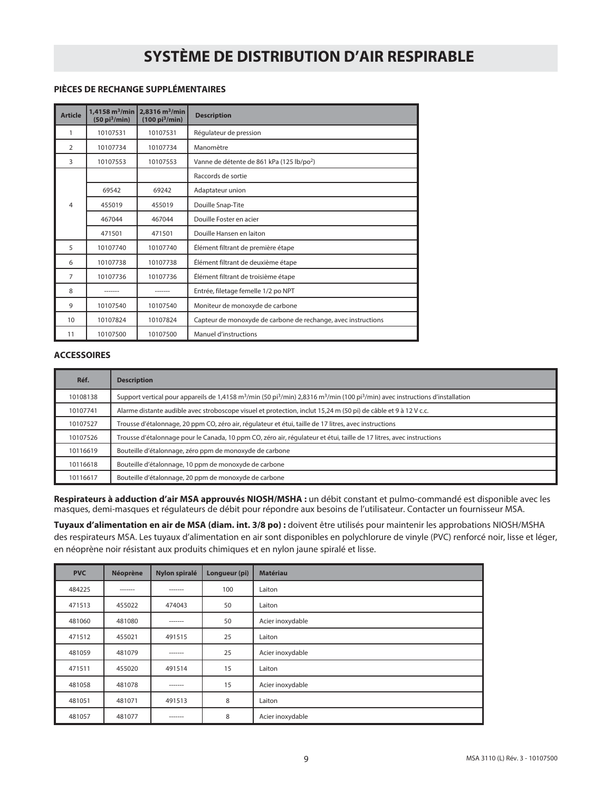#### **PIÈCES DE RECHANGE SUPPLÉMENTAIRES**

| <b>Article</b> | 1,4158 $m^3$ /min<br>(50 pi <sup>3</sup> /min) | $2,8316 \,\mathrm{m}^3/\mathrm{min}$<br>$(100 \text{ pi}^3/\text{min})$ | <b>Description</b>                                            |
|----------------|------------------------------------------------|-------------------------------------------------------------------------|---------------------------------------------------------------|
| 1              | 10107531                                       | 10107531                                                                | Régulateur de pression                                        |
| 2              | 10107734                                       | 10107734                                                                | Manomètre                                                     |
| 3              | 10107553                                       | 10107553                                                                | Vanne de détente de 861 kPa (125 lb/po <sup>2</sup> )         |
|                |                                                |                                                                         | Raccords de sortie                                            |
|                | 69542                                          | 69242                                                                   | Adaptateur union                                              |
| 4              | 455019                                         | 455019                                                                  | Douille Snap-Tite                                             |
|                | 467044                                         | 467044                                                                  | Douille Foster en acier                                       |
|                | 471501                                         | 471501                                                                  | Douille Hansen en laiton                                      |
| 5              | 10107740                                       | 10107740                                                                | Élément filtrant de première étape                            |
| 6              | 10107738                                       | 10107738                                                                | Élément filtrant de deuxième étape                            |
| $\overline{7}$ | 10107736                                       | 10107736                                                                | Élément filtrant de troisième étape                           |
| 8              |                                                |                                                                         | Entrée, filetage femelle 1/2 po NPT                           |
| 9              | 10107540                                       | 10107540                                                                | Moniteur de monoxyde de carbone                               |
| 10             | 10107824                                       | 10107824                                                                | Capteur de monoxyde de carbone de rechange, avec instructions |
| 11             | 10107500                                       | 10107500                                                                | Manuel d'instructions                                         |

#### **ACCESSOIRES**

| Réf.     | <b>Description</b>                                                                                                                                                             |
|----------|--------------------------------------------------------------------------------------------------------------------------------------------------------------------------------|
| 10108138 | Support vertical pour appareils de 1,4158 m <sup>3</sup> /min (50 pi <sup>3</sup> /min) 2,8316 m <sup>3</sup> /min (100 pi <sup>3</sup> /min) avec instructions d'installation |
| 10107741 | Alarme distante audible avec stroboscope visuel et protection, inclut 15,24 m (50 pi) de câble et 9 à 12 V c.c.                                                                |
| 10107527 | Trousse d'étalonnage, 20 ppm CO, zéro air, régulateur et étui, taille de 17 litres, avec instructions                                                                          |
| 10107526 | Trousse d'étalonnage pour le Canada, 10 ppm CO, zéro air, régulateur et étui, taille de 17 litres, avec instructions                                                           |
| 10116619 | Bouteille d'étalonnage, zéro ppm de monoxyde de carbone                                                                                                                        |
| 10116618 | Bouteille d'étalonnage, 10 ppm de monoxyde de carbone                                                                                                                          |
| 10116617 | Bouteille d'étalonnage, 20 ppm de monoxyde de carbone                                                                                                                          |

**Respirateurs à adduction d'air MSA approuvés NIOSH/MSHA :** un débit constant et pulmo-commandé est disponible avec les masques, demi-masques et régulateurs de débit pour répondre aux besoins de l'utilisateur. Contacter un fournisseur MSA.

**Tuyaux d'alimentation en air de MSA (diam. int. 3/8 po) :** doivent être utilisés pour maintenir les approbations NIOSH/MSHA des respirateurs MSA. Les tuyaux d'alimentation en air sont disponibles en polychlorure de vinyle (PVC) renforcé noir, lisse et léger, en néoprène noir résistant aux produits chimiques et en nylon jaune spiralé et lisse.

| <b>PVC</b> | Néoprène | Nylon spiralé | Longueur (pi) | <b>Matériau</b>  |
|------------|----------|---------------|---------------|------------------|
| 484225     | -------  | -------       | 100           | Laiton           |
| 471513     | 455022   | 474043        | 50            | Laiton           |
| 481060     | 481080   | -------       | 50            | Acier inoxydable |
| 471512     | 455021   | 491515        | 25            | Laiton           |
| 481059     | 481079   | -------       | 25            | Acier inoxydable |
| 471511     | 455020   | 491514        | 15            | Laiton           |
| 481058     | 481078   | -------       | 15            | Acier inoxydable |
| 481051     | 481071   | 491513        | 8             | Laiton           |
| 481057     | 481077   | -------       | 8             | Acier inoxydable |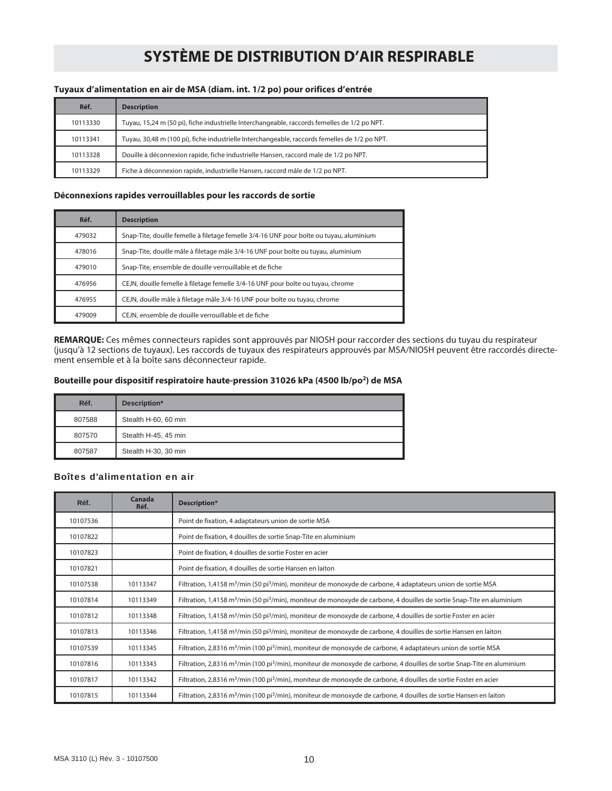#### **Tuyaux d'alimentation en air de MSA (diam. int. 1/2 po) pour orifices d'entrée**

| Réf.     | <b>Description</b>                                                                            |
|----------|-----------------------------------------------------------------------------------------------|
| 10113330 | Tuyau, 15,24 m (50 pi), fiche industrielle Interchangeable, raccords femelles de 1/2 po NPT.  |
| 10113341 | Tuyau, 30,48 m (100 pi), fiche industrielle Interchangeable, raccords femelles de 1/2 po NPT. |
| 10113328 | Douille à déconnexion rapide, fiche industrielle Hansen, raccord male de 1/2 po NPT.          |
| 10113329 | Fiche à déconnexion rapide, industrielle Hansen, raccord mâle de 1/2 po NPT.                  |

#### **Déconnexions rapides verrouillables pour les raccords de sortie**

| Réf.   | <b>Description</b>                                                                      |
|--------|-----------------------------------------------------------------------------------------|
| 479032 | Snap-Tite, douille femelle à filetage femelle 3/4-16 UNF pour boîte ou tuyau, aluminium |
| 478016 | Snap-Tite, douille mâle à filetage mâle 3/4-16 UNF pour boîte ou tuyau, aluminium       |
| 479010 | Snap-Tite, ensemble de douille verrouillable et de fiche                                |
| 476956 | CEJN, douille femelle à filetage femelle 3/4-16 UNF pour boîte ou tuyau, chrome         |
| 476955 | CEJN, douille mâle à filetage mâle 3/4-16 UNF pour boîte ou tuyau, chrome               |
| 479009 | CEJN, ensemble de douille verrouillable et de fiche                                     |

**REMARQUE:** Ces mêmes connecteurs rapides sont approuvés par NIOSH pour raccorder des sections du tuyau du respirateur (jusqu'à 12 sections de tuyaux). Les raccords de tuyaux des respirateurs approuvés par MSA/NIOSH peuvent être raccordés directement ensemble et à la boîte sans déconnecteur rapide.

#### **Bouteille pour dispositif respiratoire haute-pression 31026 kPa (4500 lb/po2) de MSA**

| Réf.   | Description*         |
|--------|----------------------|
| 807588 | Stealth H-60, 60 min |
| 807570 | Stealth H-45, 45 min |
| 807587 | Stealth H-30, 30 min |

#### Boîtes d'alimentation en air

| Réf.     | Canada<br>Réf. | Description*                                                                                                                                    |
|----------|----------------|-------------------------------------------------------------------------------------------------------------------------------------------------|
| 10107536 |                | Point de fixation, 4 adaptateurs union de sortie MSA                                                                                            |
| 10107822 |                | Point de fixation, 4 douilles de sortie Snap-Tite en aluminium                                                                                  |
| 10107823 |                | Point de fixation, 4 douilles de sortie Foster en acier                                                                                         |
| 10107821 |                | Point de fixation, 4 douilles de sortie Hansen en laiton                                                                                        |
| 10107538 | 10113347       | Filtration, 1,4158 m <sup>3</sup> /min (50 pi <sup>3</sup> /min), moniteur de monoxyde de carbone, 4 adaptateurs union de sortie MSA            |
| 10107814 | 10113349       | Filtration, 1,4158 m <sup>3</sup> /min (50 pi <sup>3</sup> /min), moniteur de monoxyde de carbone, 4 douilles de sortie Snap-Tite en aluminium  |
| 10107812 | 10113348       | Filtration, 1,4158 m <sup>3</sup> /min (50 pi <sup>3</sup> /min), moniteur de monoxyde de carbone, 4 douilles de sortie Foster en acier         |
| 10107813 | 10113346       | Filtration, 1,4158 m <sup>3</sup> /min (50 pi <sup>3</sup> /min), moniteur de monoxyde de carbone, 4 douilles de sortie Hansen en laiton        |
| 10107539 | 10113345       | Filtration, 2,8316 m <sup>3</sup> /min (100 pi <sup>3</sup> /min), moniteur de monoxyde de carbone, 4 adaptateurs union de sortie MSA           |
| 10107816 | 10113343       | Filtration, 2,8316 m <sup>3</sup> /min (100 pi <sup>3</sup> /min), moniteur de monoxyde de carbone, 4 douilles de sortie Snap-Tite en aluminium |
| 10107817 | 10113342       | Filtration, 2,8316 m <sup>3</sup> /min (100 pi <sup>3</sup> /min), moniteur de monoxyde de carbone, 4 douilles de sortie Foster en acier        |
| 10107815 | 10113344       | Filtration, 2,8316 m <sup>3</sup> /min (100 pi <sup>3</sup> /min), moniteur de monoxyde de carbone, 4 douilles de sortie Hansen en laiton       |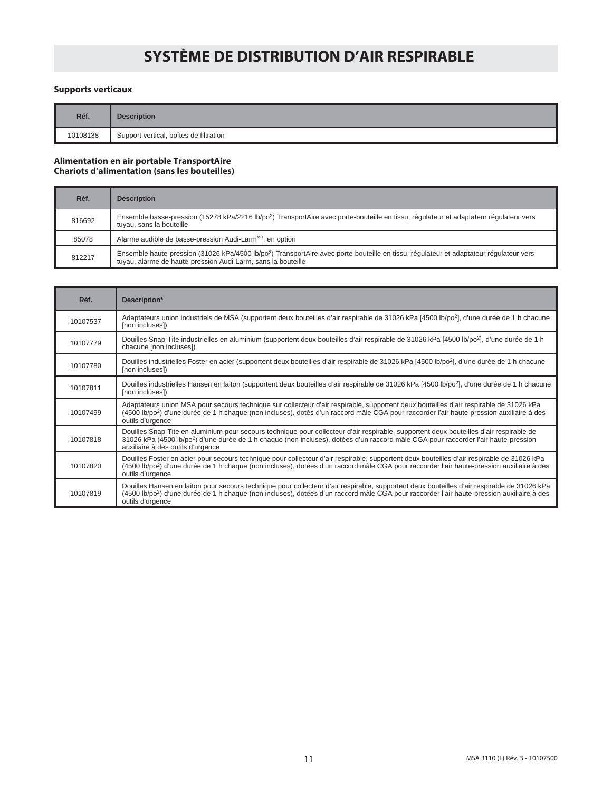#### **Supports verticaux**

| Réf.     | <b>Description</b>                     |  |
|----------|----------------------------------------|--|
| 10108138 | Support vertical, boîtes de filtration |  |

#### **Alimentation en air portable TransportAire Chariots d'alimentation (sans les bouteilles)**

| Réf.   | <b>Description</b>                                                                                                                                                                                                 |
|--------|--------------------------------------------------------------------------------------------------------------------------------------------------------------------------------------------------------------------|
| 816692 | Ensemble basse-pression (15278 kPa/2216 lb/po <sup>2</sup> ) TransportAire avec porte-bouteille en tissu, régulateur et adaptateur régulateur vers<br>tuyau, sans la bouteille                                     |
| 85078  | Alarme audible de basse-pression Audi-Larm <sup>MD</sup> , en option                                                                                                                                               |
| 812217 | Ensemble haute-pression (31026 kPa/4500 lb/po <sup>2</sup> ) TransportAire avec porte-bouteille en tissu, réqulateur et adaptateur réqulateur vers<br>tuyau, alarme de haute-pression Audi-Larm, sans la bouteille |

| Réf.     | Description*                                                                                                                                                                                                                                                                                                                    |
|----------|---------------------------------------------------------------------------------------------------------------------------------------------------------------------------------------------------------------------------------------------------------------------------------------------------------------------------------|
| 10107537 | Adaptateurs union industriels de MSA (supportent deux bouteilles d'air respirable de 31026 kPa [4500 lb/po <sup>2</sup> ], d'une durée de 1 h chacune<br>[non incluses])                                                                                                                                                        |
| 10107779 | Douilles Snap-Tite industrielles en aluminium (supportent deux bouteilles d'air respirable de 31026 kPa [4500 lb/po <sup>2</sup> ], d'une durée de 1 h<br>chacune [non incluses])                                                                                                                                               |
| 10107780 | Douilles industrielles Foster en acier (supportent deux bouteilles d'air respirable de 31026 kPa [4500 lb/po <sup>2</sup> ], d'une durée de 1 h chacune<br>(non incluses)                                                                                                                                                       |
| 10107811 | Douilles industrielles Hansen en laiton (supportent deux bouteilles d'air respirable de 31026 kPa [4500 lb/po <sup>2</sup> ], d'une durée de 1 h chacune<br>[non incluses])                                                                                                                                                     |
| 10107499 | Adaptateurs union MSA pour secours technique sur collecteur d'air respirable, supportent deux bouteilles d'air respirable de 31026 kPa<br>(4500 lb/po <sup>2</sup> ) d'une durée de 1 h chaque (non incluses), dotés d'un raccord mâle CGA pour raccorder l'air haute-pression auxiliaire à des<br>outils d'urgence             |
| 10107818 | Douilles Snap-Tite en aluminium pour secours technique pour collecteur d'air respirable, supportent deux bouteilles d'air respirable de<br>31026 kPa (4500 lb/po <sup>2</sup> ) d'une durée de 1 h chaque (non incluses), dotées d'un raccord mâle CGA pour raccorder l'air haute-pression<br>auxiliaire à des outils d'urgence |
| 10107820 | Douilles Foster en acier pour secours technique pour collecteur d'air respirable, supportent deux bouteilles d'air respirable de 31026 kPa<br>(4500 lb/po <sup>2</sup> ) d'une durée de 1 h chaque (non incluses), dotées d'un raccord mâle CGA pour raccorder l'air haute-pression auxiliaire à des<br>outils d'urgence        |
| 10107819 | Douilles Hansen en laiton pour secours technique pour collecteur d'air respirable, supportent deux bouteilles d'air respirable de 31026 kPa<br>(4500 lb/po <sup>2</sup> ) d'une durée de 1 h chaque (non incluses), dotées d'un raccord mâle CGA pour raccorder l'air haute-pression auxiliaire à des<br>outils d'urgence       |